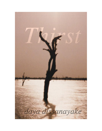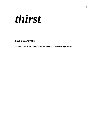*thirst*

**daya dissanayake**

**winner of the State Literary Award 1998, for the Best English Novel**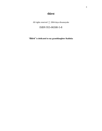# **thirst**

All rights reserved  $\circ$  2004 daya dissanayake

### ISBN 955-06508-5-8

### **'thirst' is dedicated to my granddaughter Radinka**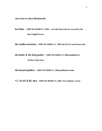**other books by daya dissanayake**

**kat bitha - ISBN 955-96508-0-7, 1998. – won the State Literary Award for the Best English Novel**

**the saadhu testament – ISBN 955-96508-1-5, 1998. the First E-novel from Asia**

**the healer & the drug pusher – ISBN 955-96508-2-3, 2000 published by**

 **Writers Club Press**

**the bastard goddess – ISBN 955-96508-3-1, 2003 published on-line**

**'fjiaika fkdjQ fjoqka - ISBN 955-96508-4-X, 2003. First Sinhala e-novel**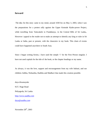#### **forward**

The idea for this story came to my mind, around 1030 hrs on May 3, 2003, when I saw the preparations for a protest rally against the Upper Kotmale Hydro-power Project, while travelling from Talawakele to Pundaluoya, in the Central Hills of Sri Lanka,. However i appeal to the reader not to make an attempt to identify any king or ruler in Sri Lanka or India, past or present, with the characters in my book. This chain of events could have happened anywhere in South Asia.

Since i began writing fiction, i have used the simple 'i' for the First Person singular. I have not used capitals for the title of the book, or the chapter headings or my name.

As always, it was the love, support and encouragement from my wife Indrani, and our children Aditha, Nishantha, Raditha and Madhavi that made this creation possible.

daya dissanayake 9/27, Nuge Road Peliyagoda, Sri Lanka http://www.saadhu.com daya@saadhu.com

November  $28<sup>th</sup>$ , 2003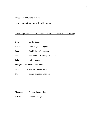#### Place – somewhere in Asia

# Time - sometime in the  $1<sup>st</sup>$  Millennium

#### Names of people and places - given only for the purpose of identification

| Reta                                     | – Chief Minister                    |
|------------------------------------------|-------------------------------------|
| <b>Hagara</b>                            | - Chief Irrigation Engineer         |
| Puna                                     | - Chief Minister's daughter         |
| Abi                                      | - chief Minister's younger daughter |
| Taba                                     | - Project Manager                   |
| <b>Tisaguta</b> thera- the Buddhist monk |                                     |
| Cita                                     | - sister of Tisaguta thera          |
| Uti                                      | - foreign Irrigation Engineer       |

- **Mayahala** Tisaguta thera's village
- **Delwita** Sumana's village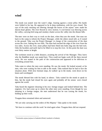#### **wind**

The monk was seated near the water's edge, leaning against a stone pillar. His hands were folded in his lap. He appeared to be in deep meditation, with his eyes closed. The rays of the early morning sun filtering through the leaves of the arjuna<sup>1</sup> trees made his shaven head glisten. The river flowed in slow motion. A cool breeze was blowing across the valley, carrying bird song and monkey chatter across the valley into the distant hills.

The men were on their way to work on the dam, when they saw the monk. One man ran back to the camp to inform the Project Manager, while the others stood still, as if rooted to the ground. Taba was the Project Manager in charge of the construction of the dam across the river, linking the two hills. The dam had reached the edge of the river from the two sides. Across the river, stone pillars had been fitted into holes dug into the bed rock. Only the boulders and earth had to be filled in to stop the river. At this point the dam was over thirty metres in height.

The workmen stood at a little distance, awaiting the arrival of the Manager. They knew why the Buddhist monk was seated here. They could not begin work till the thera moved away. He was seated in the path of the construction and appeared to be oblivious to everything around him.

Taba came to where the men were standing. He saw the monk. He looked around, at his men, who were waiting for him to talk to the monk. Taba realized that he had to face the situation alone. With slow hesitant steps, he walked up to the monk, went down on his knees and worshipped.

The monk blessed him with his hand, in silence. Taba waited for the monk to speak to him, but the monk had closed his eyes again and probably all his senses were closed against the world.

Taba heard the engineer shouting in his own foreign tongue and looked behind him. The engineer, Uti, had come up to where the other men were standing. Even though he was shouting in a foreign tongue, the men understood that he was cursing the monk, for holding up their work.

Tisaguta thera remained silent and unmoved.

 $\overline{a}$ 

'We are only carrying out the orders of His Majesty' Taba spoke to the monk.

'We have to continue with the work' he tried again when Tisaguta thera did not respond.

<sup>&</sup>lt;sup>1</sup> Terminalia arjuna (arjuna in Sankskrit/Hindi, kumbuk in Sinhala)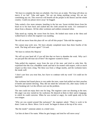'We have to complete the dam on schedule. Our lives are at stake. The king will show no mercy if we fail.' Taba said again. 'We are not doing anything wrong. We are not committing any sin. This reservoir will benefit all the people in the district and the whole country. Could you please move away' he begged.

Taba waited a few more minutes, kneeling in the hot sun. Sweat trickled down from his head on to his bare back and soaked into the cloth around his waist. Uti continued to shout from a distance. All the other workmen and soldiers remained silent.

Taba stood up, wiping the sweat from his brow. He looked once more at the thera and walked back to where the engineer was standing.

'He will not move from this place till we call off this project' Taba told the engineer.

'We cannot stop work now. We have already completed more than three fourths of the work. The king will never agree?' Uti said.

'We have to inform His Majesty'

'He will cut your head off, if you tell him that we have to abandon the work. Why can't we just pull this old man out of here?' the engineer wanted to know.

Taba pulled the engineer away from the rest of the men and tried to calm him. He explained that this was a Buddhist monk and had to be treated with respect, with as much respect as they treat a king. The thera was from a village nearby, and the workmen knew the monk well.

'I don't care how you treat him, but i have to continue with my work' Uti could not be appeased.

The workmen had found places to rest under the trees, some had pulled out their pouches of beetle and started chewing. They did not mind the welcome rest, after many weeks of back breaking toil. Let the officers sort out the problem.

The men could not enjoy their rest for long. The engineer came out shouting at the men. His anger was now turned on his workmen. He shouted at them in their native language, in which he could converse. When he was excited or angry, he could speak only in his own tongue.

'Why are you seated around like jackasses?' the engineer asked. 'There is work to be done. Come on. Move. Move. Get to work' he began to shout at the top of his voice.

'But the monk?' someone asked, in a timid voice.

'Let him sit there if he wants. When he gets hungry and tired he will move away'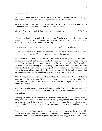'He is there now'

'We have to build another 120 feet of this dam. So for the moment we will leave a gap and continue our work. When the monk goes away we can fill the gap'

Taba left for the city to meet the Chief Minister. He did not want to send a message. He wanted to report the situation in person to the Chief Minister.

The Chief Minister decided that it should be brought to the attention of the king immediately.

'The project should not be delayed for any reason. You have my authority to deal with any problem, the best way you see fit. Don't waste your time' the king had ordered, when Taba was allowed to present himself to the king.

'The engineer has already got the men to continue the work, Your Highness'

It was already dark by the time Taba returned to the worksite. He went up to the river before going to his camp. The monk was still seated in the same position.

At the camp, Taba learnt that the monk had not moved at all. Tisaguta thera had refused all food and water offered to him. He had not opened his eyes to see who had come near him, or had tried to offer him food. Taba went to the river to get rid of the dust and the weariness of his long journey. While soaking himself in the water, he watched the thera under the faint star light. There was no sign of any movement. The thera appeared to be part of the stone pillar, a part of the dam under construction. If he had not known that Tisaguta thera was there, he would not have been able to notice him at all.

The following morning, when he went for his bath, the thera was still there, seated in the same position, his eyes closed. He went closer to make certain the monk was alive. Deep in his mind, he probably wished that the monk had died in the night, which would have solved his problem.

Taba had to send a message to the Chief Minister, to be forwarded to the king. He stated that the monk had not moved away but that the work was continuing without any interruption.

In reality the work had slowed down, Taba noticed, when he did his morning inspection. They had lost a few hours the previous morning, reorganizing the work plan. The surveyor had to mark the new positions for the foundations and the stone pillars, because the area to be filled in had been scheduled to commence in two weeks and had not been marked.

During his rounds, Taba also felt there was something different at the worksite. He looked around and it took him a short while to realise the change was in the noise levels. There was only the sound of metal against rock, of boulders dragged over the ground and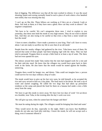that of digging. The difference was that all the men worked in silence. It was the usual shouting, banter and cursing normally found in such a place of work where a few hundred men toiled, that was missing that day.

'I can't go on like this. These fellows are working as if they are at a funeral. Look at them. Just look at them, as if they have seen a ghost. How can they work in silence?' the engineer complained.

'We have to be careful. We can't antagonise these men. I tried to explain to you yesterday, that these men hold the monk in very high esteem. They do not wish to disturb him. And they are also trying to be careful so that even a chip from a stone would not hurt the monk'

'I have to meet a deadline. I have made a promise to your king. That's all i have to worry about. I am not ready to sacrifice my life to save that of an old monk'

People from the nearby villages had gathered by the river. Taba knew most of them. He noticed that some of these people had been keeping vigil with the thera. They too had tried to persuade Tisaguta thera to accept a little food or at least a sip of water. The thera had not even opened his eyes.

The silence around him made Taba realize that the men had stopped work for a rest and for their mid-day meal. He knew that the villagers too would have gone back to their work in the farms. He also knew that the monk would be seated against the boulder, unmoving.

Tisaguta thera would be hungry too, and thirsty. Taba could not imagine how a person could survive for two days without a drop of water.

The monk would have to give up his fast very soon, he told himself, as he accepted the rice and curry served to him on a clay plate. The food stuck in his throat. He took a sip of water and started coughing. He called the two dogs that had taken up permanent residence at the camp and placed the food for them on a banana leaf under a tree a little away from the camp.

'We have to get this monk to move away. We have lost two days of work' Uti sat down on a boulder, near Taba, in the evening after the day's work was over.

'He will give up soon, when he cannot bare the hunger and thirst'

'He must be eating during the night. The villagers would be bringing him food and water'

'They would never do that, especially in the night. Didn't you know that Buddhists monks do not take any food after mid-day. I know the monk, he will not accept such a thing, even if someone offered it'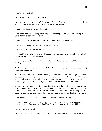'That's what you think'

'No. That is what i know for certain' Taba insisted.

'It is what you want to believe' Uti argued. 'You don't know much about people. They are not what they appear to be, or what you expect them to be'

'I know i am right. All we can do is wait'

'This monk must be expecting something from the king. A land grant for his temple, or a State Honour or something like that'

'The Buddhist monks give up all such desires when they enter monkshood'

'They are still human beings with human weaknesses'

'Time will prove that you are wrong'

'I can't afford to wait. I have to get this done before the rainy season, or all this work will be washed away with the first rains'

'Let's sleep on it. Tomorrow when we wake up, perhaps the monk would have given up the fast'

Next morning, the priest was still seated in the same position, oblivious to everything happening around him

Taba still expected that the monk would give up his fast and that the village folk would persuade him to give up. The old monk was growing weaker by the hour. The entire village had gathered around, pleading with him to give up. The news was spreading to the other villages and more and more people came to see the monk on his death fast.

Uti decided to go up to the city to meet the king. Taba did not try to stop him. Let him face the king's wrath, he thought. Uti travelled by a bullock cart, because he hated to walk in the hot sun. He had to wait for several hours to be taken to the king. He was suffering from hunger and thirst, yet he was too proud to ask for any food or even water.

'I am unable to continue with the work, your Majesty' he told the king.

'What is your problem? I have given all necessary instructions, that nothing should hinder the work of the tank. You should not have any problems' the king told him.

'My problem is the monk'

'Is he still there?' the king asked in surprise. 'What is that fellow Taba doing about it?'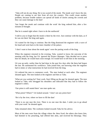'Taba will not do any thing. He is too scared of the monk. The monk won't leave the site. People are coming to see him from all over the country. This could create another problem, because trouble makers can spread all kinds of stories among the crowds and they can cause damage to the dam'

'Just forget the monk and continue with the work' the king ordered him, after a few minutes of thought.

'But he is seated right where i have to do the earthwork'

'I told to you to forget that the monk is there by the river. Just continue with the dam, as if he was not there' the king said again.

Uti waited for the king to continue. But the King dismissed the engineer with a wave of his hand and went back to the inner chamber of the palace.

'I don't want to hear about the monk again' were the parting words of the king.

When the engineer returned in the evening, Taba wanted to know the outcome of the meeting with the king, but Uti ignored the Project Manager. Taba decided not to press him for details, he would learn soon enough. Uti would have to tell him in the morning.

Uti was up early, earlier than he had done in the past few days after the thera had begun the fast. He summoned his workforce. Taba joined him, not knowing what the engineer had in mind, or what instructions he had received from the king.

Uti ordered the men to commence work. The men looked at each other. The engineer shouted again. The men looked at the engineer and then at Taba.

'What are you waiting for? Start work. Start filling up the gap' he shouted again. The men looked at Taba, who shrugged his shoulders and indicated that they had to follow the engineer's orders.

'Our priest is still seated there' one man spoke out.

'What priest? Where?' Uti looked around. 'I don't see any priest here'

'He is by the river, where we have to fill the dam'

'There is no one near the river. There is no one near the dam. I order you to go ahead with your work' he shouted again.

Taba remained silent. The workmen looked towards Taba for his advice.

Most of the men were from the village where the thera lived, the others also knew him, had listened to his preaching, had offered him alms, and received his blessings. They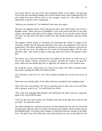were aware that he was one of the most respected monks in the region. The growing crowd from the surrounding villages and even the distant trade centre established this fact and would have been obvious even to any stranger, except Uti, who either did not understand, or did not wish to understand.

'What are you waiting for?' Uti thundered at the men, once again.

The men were getting restless. One of the gravest sins a man could commit was to hurt a Buddhist monk. These men were all Buddhists. Even if the person had been of any other religion, the people would still not lift a finger to hurt him. It was not their nature. People who grew up and lived with nature would never hurt another harmless, innocent living creature.

The engineer looked around in frustration. He summoned the officer in charge of the mercenary soldiers that the king had stationed at the camp. He explained to him what he wanted done. The officer shouted at the workmen to carry out the engineer's instructio ns. The men did not move. He pulled out his sword and threatened again. Still the men refused to obey. They stood in silence, unmoving, their eyes fixed on the ground at their feet.

The officer was a man who believed that if he pulled out his sword, he could not put it back in the sheath, without achieving his purpose. He held the weapon. He gave the order. Either the men should obey him, or fight him. He waited for a few minutes more.

He swung his sword, cutting down two men in one stroke. The others remained where they stood, watching the fallen men bleed to death.

'You will have to kill all of us' one of the workmen shouted. He was the next to be cut down.

Three men were already dead. A few others had been wounded by the swinging sword.

'This won't solve our problem. We have to get these men to start work. If you kill them who is going to work for us?' Uti stood before the officer.

'This is the only language these bastards will understand' the officer spat out, wiping the blade of his sword with his palm.

'Can't you get your men to drop a few boulders and earth on the gap that we have to fill up today?' Uti asked the officer.

The officer thought for a moment, because he too had realised that for once his sword had not been able to get him what he wanted. He looked at his soldiers. None of them were of the Buddhist faith, if at all they had a religion it would have been the worship of the filthy lucre. The gold coins with which they were paid would be the only sacred objects in the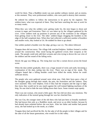world for them. Thus a Buddhist monk was just another ordinary mortal, and an enemy, at this moment. They were professional soldiers, who were paid to destroy their enemies.

He ordered his soldiers to follow the instructions to be given by the engineer. The soldiers knew what was expected of them. They had been watching the men at work for so many weeks.

When they saw what the soldiers were getting ready for, the men began to shout and scream in anger and frustration. Their cry was taken up by the villagers gathered by the river. A few soldiers took up positions to prevent any of the workmen or the villagers from getting closer to the river. The other soldiers began dragging the boulders to the edge of the half completed dam. When they had collected a sufficient number of boulders and smaller rocks, they looked at Uti. He nodded for them to go ahead.

One soldier pushed a boulder over the edge, giving a war cry. The others followed.

Tisaguta thera did not move. The village folk watched helpless. Soldiers formed a cordon around the construction. They stood facing the gathered crowd, their weapons at the ready. The people could only add their screams and cries trying to drown the war cries of the soldiers and the sound of the falling rocks.

Slowly the gap was filling up. The rising dust was like a curtain drawn across the brutal scene.

When the dust settled gradually, there was a huge mound of rocks and earth, becoming a continuation of the dam, jutting into the river. There was no sign of the monk. The villagers hoped that a falling boulder could have killed the monk, before he could suffocate slowly.

The people who were gathered around were silent now. Only their faces gave a hint of the thoughts going through their minds, the pain, the frustration and the sadness. They were unarmed. They were helpless. Even if they had the weapons and the urge to fight, they knew they would not be any match against the well trained fighting machines of the king. No one tried to hide the tears falling down their faces. Some women wept openly.

There was one woman, who stood a little apart. Her face did not show any emotions. The only indication of the turmoil going through her was her clenched fists.

She was Cita, the younger sister of the old thera who had just been so brutally murdered. She had known him only as a Buddhist monk, and never as an elder brother, because he had already been ordained before she was born. After her father and mother had passed away, she had looked up to the monk, as a father.

Tisaguta thera had sacrificed his life, for the sake of all the people in their villages and for the sake of all the future generations, who would live in this valley.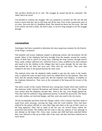The sacrifice should not be in vain. The struggle he started should be continued. The valley had to be saved.

Cita decided to continue the struggle. She was prepared to sacrifice her life, but she had learnt a lesson that day, that to this king and all his men, lives of the countrymen were of no value. Not even that of a Buddhist monk. She should not throw her life away. She had to be careful, she had to think, she had to plan, to survive long enough to see the struggle through.

#### **coronation**

Astrologers had been consulted to determine the most auspicious moment for the festival of the King's coronation.

One hundred and twenty elephants draped in glistening armour and decorations led the parade. Many of the elephants had been brought from the temples around the country. Some of them had to march for many days, suffering the long journey through narrow dusty roads, without sufficient rest, sufficient food or water, prodded on by their mahouts and stared at by the children in the villages they had to pass through. By the time they had reached the city their feet were sore. Their skin dry and dusty. They were then chained to the trees in the ground beyond the outer moat.

The mahouts knew that the elephants badly needed to get into the water in the nearby tank, to splash the water on their backs and to be rubbed down by the mahouts. They also knew that the animals needed a good rest. But the mahouts were helpless, as helpless as the elephants themselves. They were at the command of the king and the owners of the animals.

The entire cavalry of the country followed next, raising dust clouds which later settled on the numerous multi coloured decorations and banners that lined the streets. The horses were luckier than the elephants, because they lived in the city, even though penned up. Thus they had not suffered a long unpleasant journey to attend the procession. The horses were only restless, not tired and hungry, and they were also used to the city streets.

All the townspeople and those from the villages within a day's journey had been made to stand from early morning, carrying the flags with the royal emblem. They had been ordered by the palace officials to wave their flags and cheer at the top of their voices as the king appeared. They had to stand in the hot sun, for several hours, before the procession had started. The soldiers did not want to take any chances of any sabotage or any attempt on the king's life. Every man, woman and child had been searched before they were allowed to line up on either side of the road, and they had been ordered not to move about.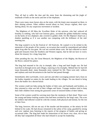They all had to suffer the dust and the noise from the drumming and the jingle of multitude of bells on the necks and feet of the elephants.

There were many more horses also on the street, with the king's men mounted on them, in their shining armour. Other soldiers moved about on foot, always vigilant, their eyes darting about, for any suspicious movement or incident.

 The Mightiest of All Men, the Excellent Ruler of the universe, who had reduced all hostility to nothing, who had won lustrous glory, ascended the golden baldachin resting on the backs of two elephants also covered in golden cloth. On His Majesty's head was a diadem sparkling as if it was another sun competing with the brilliance of the mid morning sun.

The king wanted it to be the Festival of All Festivals. He wanted it to be etched in the memories of the people of his country, an occasion that would be remembered and talked about long after he was gone. He was not worried about costs. He had collected so much gold and treasures from the Southern and Western regions, that he did not have to worry about his treasury for a long, long time.

After parading the city, the Great Monarch, the Mightiest of the Mighty, the Bravest of the Brave, entered his palace.

The king had returned to his city in triumph, after a long and hard fought war. He had marched on through towns and villages, rejoicing in his triumphs. Behind him he had left many thousands dead, many thousands more maimed for life. There were only widows and orphans and total devastation in the land he had passed through.

Immediately after each battle, crows and rats and other scavenging animals had a feast on the bodies impaled on stakes by the roads leading to the villages. No one dared to bring down the bodies for a decent burial.

The women could not help seeing the bodies of their sons and husbands and brothers, as they returned to what was left of their villages and farms. Younger mothers tried to keep their little children from seeing the gruesome scene of tortured bodies of their fathers.

Some of the women would be carrying more than the memories of their dead. These were the young and better-looking women who had been ravished by the king's men. The scars the soldiers had inflicted would be with the women, both physical and mental, for the rest of their lives.

The king, however, did not see any of the murder and devastation, or the misery he left behind in his wake. He had always remained in the safety of his camp, guarded by strong and ever vigilant men, listening to the reports of the progress of battles and giving an occasional order. The king had made his instructions to his forces very clear, not to stop till they had vanquished all those who had refused to accept his leadership.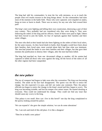The king had told his commanders 'to treat the foe with sternness, so as to teach the people what evil results treason to the king brings about'. So the commanders had slain most of the enemies in the battle field. Those who were captured, were impaled on stakes, hung on trees or burnt to death. There was no mercy for any one who had crossed their path

The king's men were fighting and killing their own countrymen, destroying a part of their own country. They probably had not considered why they were doing it. They were following the orders of the king and his officers. Some of them were paid to fight. Others had been forced to join the battle, for fear of reprisals against their families and their entire villages.

The men who died at their hands had also been fighting on the orders of their local rulers, for the same reasons. As they faced death in battle, their thoughts would have been about their families, their loved ones, more worried about their fate than what was imminent. The men had joined the battle to save their families and their villages, but that gave their enemies the justification to destroy their villages, after the men had been killed.

The king had marched on, from one devastated village to another, till his armies had captured or killed all those who were against the king, till the forces of the rulers of all the other regions had been vanquished.

### *the new palace*

The joy of conquest had begun to fade soon after the coronation. The king was becoming restless. The smile on his face had disappeared. The queen was the first to notice the change, but she expected it to pass, and did not make any comment. Then the palace officials too began to notice the change in the king's mood and they began to worry. The king was becoming irritable, and lost his temper over minor issues. He started shouting at everyone. They could not understand his change. They could not find any issue that should cause any worry to the king.

'This palace is too small. How can i live in this hovel?' one day the king complained to the queen, looking around his palace.

'We can expand it' she gave the simple solution, 'we can do some alterations'

'No. I am sick and tired of this old place. It is like a dungeon'

'Then let us build a new palace'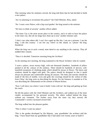That morning when his ministers arrived, the king told them that he had decided to build a new palace.

'Are we planning to reconstruct this palace?' the Chief Minister, Reta, asked.

'No. I want a new Palace, with a big royal garden' the king turned to the minister.

'We have to think of security' another officer added.

'The Inner City is the most secure place in the country, and it is safer to have the palace in the inner city, like all our kings have done up to now' another minister said.

'I don't care what others did. I can't live caged up like this. I am not a prisoner. I am the king. I rule this country. I can live any where on this island, as i please' the king thundered.

When the king was in such a mood, none dared to say anything to the contrary. They all nodded their consent.

'Then it is decided. Tomorrow morning bring the Architect'

At the meeting next morning, the king explained to the Royal Architect what he wanted.

'I want a palace, seven storeys high, with one thousand chambers, hundreds of pillars painted in all the colours of the rainbow. There should be hundreds of alcoves, with manifold ornaments of climbing plants which should be always in flower. The doors and windows should be edged with gold. The palace should be designed so that it would always be pleasant and comfortable during all seasons. The beds and couches should be made of the best of marble, ivory and gold, the coverings should be the softest of silks from China' the king went on describing his dream. For the listeners it sounded as if he was describing the Alakamanda on the summit of Mount Kelasa.

'Now I will show you where I want it build. Come with me' the king said getting up from his couch.

He left the palace with the Chief Minister and the Architect, and walked out of the inner citadel, accompanied by his personal security. The others walked behind the king, without any comment. The further away from the inner city they moved, the Commander's worries increased several fold.

The king walked into the pleasure garden.

'This is where I want my palace'

'This is the garden developed by His Majesty, your grandfather' the architect told the king. 'I have heard from my grandfather that it had taken over twenty years to build it'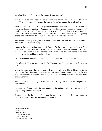'So what? My grandfather wanted a garden. I want a palace'

'But all these beautiful trees and all the birds and animals who have made this their home?' the architect tried to remind the king, as he looked around the royal garden.

What the architect could see in the garden made him think that this is what it would be like in the heavenly garden of Nandana. Around him, he saw, campaka<sup>2</sup>, asoka<sup>3</sup>, sal<sup>4</sup>, patali<sup>5</sup>, kadamba<sup>6</sup>, malati<sup>7</sup> and mango trees. Bees and butterflies hovered around the flowers. Squirrels and birds pecked at the sweet fruits. Peacocks strutted around ignoring or showing off to the wretched humans who were invading their privacy.

There were several ponds, glowing in the sun light with their red and blue lotus flowers. The swans floated around lazily.

'Some of these trees will provide the ideal timber for the castle, so you don't have to fetch them from far away. The rest of the timber can be used for the work on the fortifications' the king was saying. 'Let the creatures find a new home' the king added in an after thought, when the architect remained silent.

'We have to build a wall and a moat around the palace' the Commander said.

'Then build it. You can start immediately. You don't need any architectural designs for that'

When the plans were drawn the king ordered many changes. The architect had to go back, to do fresh drawings. The new drawings were changed again. The king did not allow the architect to explain. Each change made the building more elaborate and more expensive to build.

The architect told the king it would take at least eighteen months to complete the construction.

'Are you out of your mind?' the king shouted at the architect, who could not understand why the king had lost his temper.

'I want it done in three months' the king insisted, 'if you can't do it let me know by tomorrow, so I can send for someone who can do it'

 $\overline{a}$ 

<sup>&</sup>lt;sup>2</sup> Michelia champaka

<sup>3</sup> Jonesia asoka

<sup>4</sup> Shorea robusta

<sup>5</sup> Bignonia svaveolens

<sup>6</sup> Nauclea kadamba

 $<sup>7</sup>$  Jasminum grandflorum</sup>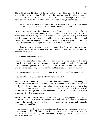The architect was shivering as if he was suffering from high fever. He felt someone gripping his heart with an iron fist. He knew he had only one more day to live, because he could not see a way out of the problem. The construction that the king had in mind could never be completed in three months. He went in search of Reta, to seek his advice.

'Why do you think it cannot be completed in three months?' the Chief Minister asked him, after watching the man gulp down the cup of water offered to him.

'It is not impossible. I have been thinking about it from the moment I left the palace. It could be done, but it will cost more, at least five times more. There is also a risk of the quality of the work. We may have to use unseasoned timber, which could go out of shape and deteriorate faster. We may not be able to get the best stones for the pillars and foundations. When we employ more men, and have too many jobs going on at the same time, I would not be able to supervise all the work to my satisfaction'

'You don't have to worry about the cost. His Majesty has already given instruc tions to the treasury to release all the funds you need. There is no limit' Reta assured him. 'So one problem is gone'

'What about the quality of the work?

'That's your responsibility. You will have to find a way to ensure that the work is done properly. I will talk to the army commanders to select good men with intelligence and who have either experience or a natural aptitude for carpentry, masonry and landscaping. We can also release a few good officers who could assist you in project supervision'

'He may not agree. The soldiers may not listen to me, i will not be able to control them'

'You leave that to me, I will sort it out with the Commander'

The Chief Minister talked to the architect for a few more minutes, about his family, his children's educ ation, his parents' health, in order to calm him down further. The architect left Reta's residence with a lighter step, after expressing his eternal gratitude for saving his life. Yet his worries were not over. He would not be able to have any sleep or rest till he finalised the drawings with the new alterations and also drew up his schedule in order to complete the job in three months.

Reta had taken on a heavy responsibility, to find enough capable people to complete the job on time. He had to support the architect, for he knew that if any one could build the palace in three months, the way the king wanted it done, then this was the only person in the country who could do it.

'I was planning to meet you in the morning at your office, but now I can save a long walk to your camp' the Chief Minister told the Commander of the armed forces, when he met him at the temple that evening. The commander was lighting a row of lamps on a stand before the Bodhi tree.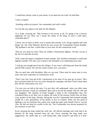'I could have always come to your house, if you had sent me word' he told Reta.

'I have a request'

'Anything within my powers' the commander said with a smile.

'It is for the new palace to be built for His Majesty'

'It is really worrying me. That location is not secure at all. It's going to be a security nightmare for me. How can I assure the safety of the king, in such a wide open, vulnerable place?'

'I know, but we have to find a way to ensure that security. Let's all get together and work things out' the Chief Minister placed his arm across the Commanders broad shoulder. 'My problem is not that. I need some of your men, for the construction work'

'Why do you need my men? They are soldiers. Professional fighters. All they can do at the site is to provide security'

'H.M. wants the project completed in three months. The Architect estimated it would take eighteen months. The only way to keep to the timetable is by employing more men'

'I will get you enough men from the villages. If you want I will bring men from the South and the Hill country. We rule the whole country now, you know'

'But we need men with discipline. Men we can trust. There must be many men in your army who have experience in construction work'

'That's true, but I just got H.M.'s permission to let most of my men go on leave. They have not been home for over two years during the campaign, and then I had to keep them here till the consecration was over'

'I'm sure you can talk to the men. I'm sure they will understand, when you offer some attractive bonuses. Funds are unlimited' Reta said as he left the temple with his wife and two daughters. The mention of funds brought a smile to the Commanders face. He considered Reta as an idiot, not to siphon off some of the treasury funds from all these crazy project of the king. Already, during the war the Commander had amassed enough wealth for a few generations of his family to live in comfort. What was the point of fighting a war for someone else, unless you could also gain some benefit from it, was his view. He did not keep his wealth in the city. The Commander was always prepared for any situation, at any time.

Every morning the king visited the work site. All official meetings and visits had to be delayed till the king returned from the site. Every morning the king made new suggestions. He would stare at a wall being built, walk around it and look at it from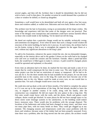several angles, and then tell the Architect that it should be demolished, that he did not wish to have a wall in that place. On another occasion he would demand that a position of a door or window be shifted, or closed up altogether.

Sometimes a wall would have to be demolished and built all over again a few feet away, doors and windows added, or walled over. Balconies and eves built, broken and re-built.

The architect tore his hair in frustration, trying to accommodate all the king's wishes. His knowledge and experience told him that some of the designs were not practical. That some of the designs were inauspicious and sometimes could have serious harmful effects on those who would reside in the building. Yet he dared not tell the king.

He dared not explain that a particular change would not be suitable, technically wrong, and sometimes too dangerous. Even when he knew that such a change would weaken the structure of the entire building, he had to do it anyway. At such times, the architect had to tax his brains, trying to find a way to strengthen the supports for the upper floors or a roof, without any significant alterations to the king's plan.

To add to his frustration, whenever the queen visited the site, she too demanded changes, especially on the interior décor and in the garden. Colours on the walls had to be changed over and over as would the curtains and the furniture. Outside, where a pond had been built, she would have it filled again to make it a terrace. A path would be changed, plants would be uprooted and replanted, or discarded.

Every time an alteration had to be done, he marked the lost time and made a note of it to ensure that he could compensate the lost time in some way. The only bright side of the entire project was that he had no restrictions of money or manpower. All he had to do was ask for it. For the three months that he had available for the project, he was the most powerful man in the country, next to the king. He could also have become one of the wealthiest men in the city. Money could be made at every turn, no one would dare to question him. Yet such a thought would never cross his mind.

He could also end up dead, at the end of three months, if he failed to complete the palace or if it was not up to the expectations of the king. He had already decided to leave the city, to migrate to another country if he could, along with his family, after the construction was completed. He did not expect the new palace to last a long time. The first rains would create havoc with the roofs, and the drains. Roofs and gutters could collapse, drains would get blocked. In some places he did not have enough space to lay down storm water drainage systems to his satisfaction, so the building could endure heavy monsoon rains. There would also be problems with the sewage disposal. The locations of the bathrooms and toilets had been changed so many times, and there were too many pipe lines, with too many bends on them. They could get clogged up at any moment. The changing seasons and temperatures could also cause problems with the doors and windows, because some of the timber had not been properly seasoned. Every time there was a problem, after the king moved into the new palace, the architect would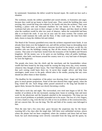be summoned. Sometimes the defect would be beyond repair. He could not face such a situation.

The workmen, mostly the soldiers grumbled and cursed silently, in frustration and anger, because they could not go home to their loved ones. They cursed the building they were erecting, they cursed the king who ordered it, his family and also the architect. They were building a palace with one thousand chambers for one family to live. Most of the workmen had only one room in their cottage s in their villages, and they dared not think what the condition would be after two years of absence, unless the womenfolk had been able to re-thatch the roofs. It was not an easy task for most women. The women and children could maintain the walls and the floor, if they could spare the time from their daily chores to keep the children fed and clothed.

The Head of the Treasury grumbled every time the architect requested more funds. It was already three times over the budgeted cost, and still the architect kept on demanding more money. They both knew, as did almost everyone involved in the project, as did the city dwellers who saw the buildings coming up, that all this money was the wealth of their country. That some of it had been looted from the treasuries of the Southern and Western kingdoms. All the money was to be spent on one building, when all public buildings, hospitals, alms halls, rest-houses around the country were in a very bad state of disrepair. So were the highways.

The people also knew that the chiefs and the merchants and the householders whose wealth had been looted by the king would be cursing the king every day, every moment, whenever they thought of their losses. The Chief Minister and the officials were worried that such cursing could harm them too. In secret they sought advice and help from astrologers, made wows to the gods, offered alms to the monks, praying that any curse should not affect them or their families.

The deadline for the completion of the palace was drawing closer. Anger and frustration grew in much greater proportions. Some of the men showed their anger openly, when the king visited the site. Such things either passed unnoticed or the king had decided to ignore them, because his dream was slowly becoming a reality.

 Men had to work day and night. The overworked, over tired men began to fall ill. The number of accidents at the site increased, causing more losses in working time and more work for the physicians and the hospitals attached to the monasteries. The king was not aware of such problems or probably pretended not to be aware. The loss of a few fingers, or even a hand or a leg, even the loss of a life or two in accidents at the construction sites, did not concern him. He was the king. The life and limb of his country men belonged to him.

Then the men had a few extra days grace because the auspicious day for the housewarming fell a few days after the target date. Still there were unfinished sections, places where the plaster had not been completed, where the windows and doors had not been fixed, but such shortcomings were cleverly concealed from the king and the queen, by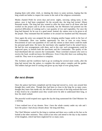draping them with white cloth, or shutting the doors to some sections, hoping that the king would not bother to inspect the rooms in the rush of the religious ceremonies.

Monks chanted Pirith for seven days and seven nights, non-stop, taking turns, in the palace, once it had been completed. On the seventh day, the king had invited fifteen thousand monks. The king had also wanted to offer the noon meal to all those who had worked on the project and to all the townsfolk, but the Ministers had pointed out the practical difficulties of cooking such a vast quantity of rice and vegetables. For once the king had listened, for he was in a good mood. Instead, dry rations were to be given to all the people. They estimated that the numbers to be around two hundred and fifty thousand.

Once again the army was assigned the task, bringing another happy smile to the face of the Commander. Here was another opportunity for him to earn an extra bonus. Procurement of such vast quantities of rice and dry rations at short notice could be made his personal gold mine. He knew the merchants who supplied food to the armed forces. He had his own arrangements with them, and in this case such arrangements could be improved upon, to benefit both the merchants and the Commander. The quality of the food distributed did not concern the Commander. These wretched creatures who were to receive the food, would not know the difference. Even if they did, there was nothing they could do. They were in no position to complain.

The Architect and the workforce had to go on working for several more weeks, after the king had moved into the palace, to complete the entire palace complex and the garden. The soldiers had got tired of cursing and given up any hope of ever going home.

### *the next dream*

Once the palace had been completed and the king had moved in, every one around him thought they could relax. Though they had been so close to the king for so many years, thought they knew him inside out, the officials and servants of the king realized that even if they lived to be a hundred years they would never be able to understand their king, or how his mind worked.

The peaceful world erupted once again the day the king summoned the Chief Minister for a meeting.

'I have realised two of my dreams. Now i have the whole country under my rule and i have the palace i had always dreamt about.' the king told Reta.

The Chief Minister waited for the king to continue and there was a smile on his face as he looked at the other ministers. They could at last relax and attend to the day to day matters of the kingdom, which had been neglected for so many years.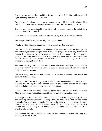'My biggest dream, my life's ambition, is yet to be realised' the king said and paused again, clouding up the faces of the ministers.

Reta still waited in silence, not daring to risk any comment. He had no idea what the king had in mind. The wrong word at this moment could send the king into a fit of anger.

'I have to carve my name in gold, in the history of our country. Even to the end of time, my name should be preserved.'

'Your name is already written indelibly into our history' The Chief Minister told him.

'No. Not yet. Already people have forgotten my grandfather.'

'You have achieved greater things than your grandfathers' Reta tried again.

'No. Not yet' the king thundered. The king closed his eyes and turned his head upwards and continued, as if addressing the gods above. 'I am going to build the largest tank in the country. I am going to give it my name, so people will talk about me forever, and be grateful to me. They will build temples in my name. My statue will be placed inside these temples. People will offer flowers and incense and light lamps at my feet. I will be worshiped as a god, after my death'

The ministers had gone through this several times. First when the king wanted to conquer the whole country. Next when he wanted to build the palace. Some of them wondered if this thirst would ever end.

'We have many tanks around the country now, sufficient to provide water for all the people' Reta told the king.

'What do i care if there is enough water or not? I have made my decision. I want to build this tank. Tell our irrigation engineers to suggest the best possible location for the largest tank to be built in this country' he concluded the meeting..

'I don't want to hear one word against my dream, from, any of you' he shouted at the Ministers who were walking backwards till they were out of sight of the king.

A few days later Reta presented himself with the Chief Irrigation Engineer, Hagara. They had drawn up several proposals. The king listened to them. He did not like any of the proposals. One tank was too small. One was to be built in a region where the local chieftain had not given his total support during the king's military campaigns. The next location was too far away to be noticed by many people, and thus could be easily forgotten after a while.

'We have not been able to think of any other location suitable for a large tank', they told the king, trembling in fear.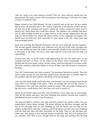'Why do i have to do every thing by myself? Why do i have advisors around me?' the king shouted. 'Be ready to leave with me tomorrow early morning. I will show you where you have to build the tank'

Hagara looked at the Chief Minister. He had a puzzled look on his face. He was certain that he knew all potential sites in the country, especially in the districts around the city. He had sent all his assistants and trainees around the country, along each major river to identify any likely places they could have missed. The engineer was confident that there was no other suitable location for a major reservoir in the country. Hagara knew that the king too had travelled over almost the entire country in his campaigns of conquest. He should know the land very well, especially in areas closer to the city, where there had been prolonged battles.

Early next morning, the king left the palace with his royal entourage and the engineers. The advance guards cleared the way, ordering every one out of the road. Carriages and carts were pushed out onto side roads or open grounds, people on the road had to step in to the drains or the fields. Not even a stray dog could be on the road when the king was approaching.

Several years ago, on all the major roads approaching the city, the shade trees by the roadside had been cut down, on the orders of the Senior Army Commander. He had decided that the trees posed a major security threat, when the king had to use these roads. The king's enemies could hide behind or on top of these trees and attempt to assassinate the king.

The City Commissioner had tried to protest. The townsmen had tried to protest. They had tried to point out that the trees had been planted many decades ago, to provide shade for the travellers, that the trees added to the beauty of the surroundings.

'Any one who needs shade could carry their own parasols' was the comment made by the king, when it was brought to his notice. 'There are enough trees all over the country, so cutting down a few trees here and there would not matter. Why are people making such a big issue over a small matter, don't they have any work to attend to?'

'Please do not bother about such talk, Your Excellency. I have taken care of such people. They are the traitors and spies, who were initiating such protests, because they wanted to hide behind the trees to attack Your Excellency'

The king travelled in comfort, and what had been assured was perfect safety. He was seated inside a horse drawn carriage. The senior officials too had their carriages, and the rest of the entourage were on foot. Keeping up with the horses was not easy, for the soldiers, loaded down with their weapons, and for the palace servants who were burdened with the food and water and other necessities for the king. Since no one had been told where they were going, or how long the journey would take, they had to be prepared for any situation. They had to carry enough food for the king, and anything else the king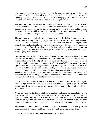might need. The palace servants also knew that the king may not use any of the things they carried with them. Instead of the food prepared by the royal chefs, he would suddenly stop by the roadside and demand to eat a ripe papaya or drink the water of a king coconut which he could see in a garden they were passing by.

The men had to walk on without rest. The king did not know when the men were tired. Inside his comfortable carriage, he could travel for hours without a rest. Even when they stopped, there was no rest for the men accompanying the king. Everyone had to be alert, the soldiers for any possible threat to the king's life, the servants to answer any whim of the king, the officials for any command the king might give.

The men could see several hills in the distance over the rice fields, from the place they finally came to a stop. The king stepped out of the carriage. A servant, ever vigilant, immediately rushed forward with an open parasol. The Great Worrier, the Mighty Ruler of the Universe, should not be exposed to the harmful rays of the sun, even for one single moment. Soldiers formed a cordon around the king, while several of them formed an advance guard. Two men walked a few steps in front of the king, sweeping the foot path, removing any stones or sticks.

Everyone else fell in behind. They walked along the path, across the fields. Men and women from the village across the fields, watched from a distance. The time was close to midday. They came to the edge of the paddy field, from then on the foot path led up the hill. The climb became more and more difficult. The man holding the parasol heaved a sigh of relief, because the king pushed him away once they were in the shade of the trees. If the man had to hold the parasol on this winding foot path, he would have certainly lost his life. He was sure to trip over a root or a loose stone and stumble against the king. He shuddered at the thought. The men carrying the food and water and other royal necessities were not so lucky. They had to carry their burdens, not knowing when the king would decide to rest and ask for what ever he fancied.

It was more like an animal trail than a foot path. At most places there were creepers growing right across the path, fallen tree trunks blocked the path at places, and the advance guard had to look for alternate paths, which would not be too difficult for the king to negotiate.

At last they came to the top of a hill. Their tiredness and anger was immediately blown away by the blue and green vista before them and the cooling breeze that wrapped around them. The view from the hill stretched as far as the eye could see. The river flowed leisurely, through the trees and the plantations, like a silver skinned snake. At some places it glistened in the sun, at others it reminded one of a blue ribbon on a green carpet.

There were rice fields, thick forests and a few plots of coconut palms. Cattle grazed on open grassland, the ripening paddy swayed in the wind. Birds sang around them.

'This is where the tank is to be built' the king waved his hand.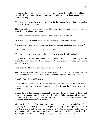He showed the hill on the other side of the river. He wanted to build a dam linking the two hills. His hand moved over the horizon, indicating where the bund should continue across the valley.

'This is going to be the large st man-made lake in the country' the king looked around at his officials, expecting applause.

There was only silence and blank faces. He thought they had not understood what he wanted, so he explained once again.

'The entire valley would go under water' Hagara said, in a hesitant voice.

'So at least you have understood what i want' the king looked at him happily.

'We mean that it would drown all the rice fields, the coconut plantations and the jungle'

'Yes. I know' the king said again 'that's what I want'.

'There are more than ten villages in the valley. These people live off this land'

'They will have to move out. There is enough land in my country where they can be settled' the king said in an off hand manner. 'We cannot let a few villages stand in the way of progress'

'Most of the food that comes into our city is from this valley'

'Once the tank is built, there will be ten times more food' the king smiled again. 'Why is it that none of you had looked at this place before this?' then he asked with a frown.

His officials tried to avoid his eyes.

'Have you ever checked this river and this location? You should have been able to propose this project, long before I thought of it. That is your duty' He growled at the engineer.

Hagara stared at the ground, apologetically, not daring to tell the king that he did not consider it a suitable place for a reservoir. The other officials remained silent, because none of them had the courage to tell the king that there would be a lot of resistance from the people if they attempted such destruction.

The king decided that he had earned a good meal. A carpet was immediately laid under a huge banyan tree. A collapsible chair was placed carefully on the carpet, a white cloth was draped over it and the king was invited to sit. A table was similarly unfolded, over which another white cloth was spread before the cook was allowed to place the food. The king's eyes were fixed on the slowly flowing river and the land before him.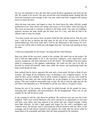He was not interested in how the men had carried all these equipment and items up the hill. He waited to be served. The men served him with trembling hands, hoping that the food had remained warm enough in the clay pots which had been wrapped with banana leaves to retain the heat.

After the king had eaten, and began to chew his betel leaves the other officials sought permission to eat. They found root stumps and stones at a level below where the king sat. The royal servants had to continue to attend to the kings needs. One man was holding a spittoon, because the king would spit the betel once in a way, and then he had to be offered water to rinse his mouth.

'You have exactly one year to draw up plans, build the dam and the anicut. This day next year, I will be here to declare the tank open for the use of my countrymen. It will be named Mahavapi, The Great Tank and it will be the Mahavapi in this country for ever. No one else will be able to build any tank bigger than this' the king said, getting up from his chair.

'I hold you responsible for the Project' the king told the Chief Minister.

Reta was silent all the way back, seated in his carriage. His mind was on the project. He had to find the right people to do it, the surveyors, engineers, work supervisors, stone masons, manpower, and most important of all, the money. The building of the new palace paled in comparison to this gigantic undertaking. He could not fail, and if he did, he decided he would kill himself, rather than suffer the torture and humiliating death the king would decide for him.

Reta realized that he had to approach this task with a fresh mind. He had to think of new systems, and forget all the traditional ways of planning a new irrigation project. In his mind he drew up his schedule. First of all he wanted to appoint a person, who would be reporting to him daily and who would follow up on the progress of every aspect of the project. The man would be answerable only to him. He had to find the right man for the job. Reta's life depended on it. He decided to call the new officer a Progress Chaser.

During the rest of the journey, in his mind he sifted through all the people he knew, assessing their capabilities and trustworthiness. He felt disappointed. There was no one suitable for the task he had in mind.

In the evening he told his wife about his problem, He could not trust any one else in the kingdom. There were several Ministers who were waiting for an opportunity to oust him, and there were others who had suffered at his hands and who wanted revenge. Unlike most high officials, he had a high regard and respect for his wife's intelligence and common sense. He had got used to discussing his official business with her often, in the evenings, and he had always listened to her opinion. He would take her advice when he found them to be reasonable and better than the ideas proposed by his ministers.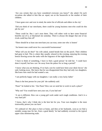'Are you certain that you have considered everyone you know?' she asked. On such occasions she talked to him like an equal, not as the housewife or the mother of their children.

'I have gone over and over in mind, the entire list of officials and elders in the city'

'Did you think of our merchants, there could be young business men who could do this job for you'

'There could be. But i can't trust them. They will either wish to have some financial benefits out of it, or blackmail me someday. There is always the danger that one of my rivals could buy him off'

'There should be at least one merchant you can trust, some one who is honest'

'An honest man could never be a successful businessman'

'What will you do then?' his wife asked, seated beside him on the porch. Their children had gone to bed. This is where they usually relaxed in the evening, enjoying the evening breeze flowing across the tanks with the fragrance of the night blossoms.

'I have to think of something, I have to find a good person' he told her. 'I could have done it myself, but how can i be away from the palace for so long a period?'

'I know what you are thinking. If we had a son he could have been your ideal choice' she said, looking away. She knew that he was disappointed that they had only two daughters. She knew how much he had wanted a son.

'I am perfectly happy with our daughters. I am really a very lucky father'

'Puna is the best person for your job' she suddenly said.

'Puna?' he looked at her. 'Our Puna? How can we send her to work in such a place?'

'Why not? You would have sent your son, if you had one'

'A son is different. How can a young girl work under such rough conditions. And it is a very hard job'

'I know, that's why I think she is the best bet for you. Your own daughter is the most trustworthy person you can have'

'It's unheard of. Her place is here at home, and then at her husbands, soon as we find a suitable young man for her, from a good family' he had suddenly reverted to the typical upper class domineering male.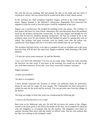His wife did not say anything. She had planted the idea in his mind, and she knew it would grow slowly, she was certain that he would not be able to find a better person.

In the morning the Chief Irrigation Engineer, Hagara arrived at the Chief Minister's house. Hagara listened to the Minister's instructions. Repeatedly Reta instructed the engineer to plan his work so that the project could be completed in one year.

Hagara was a worried man. He recalled the building of the new palace. The Architect of that project had been his close friend. Sometimes they had discussed about the problems faced by the architect during that construction. At that time Hagara had thought he was lucky that he had not mastered housing construction. He had not wanted to be in the architects shoes even for one moment. He had thanked the gods for sparing him such an ordeal. The architect had gone overseas, with his family soon after the palace was constructed. Only Hagara and one or two other close friends knew he was leaving.

The Architect had been lucky, to be able to complete his job on schedule and to get away from the king. Will he have the same luck, Hagara wondered, while listening to the Chief Minister.

'I'll take the survey team tomorrow' he told the Minister.

'Can't you leave this afternoon? You can set up camp today. Tomorrow early morning the Surveyor can start work. If you leave in the morning, you would not be able to get any work done tomorrow. Every day, every hour, even every minute is precious'

Hagara hesitated.

'Is there any problem?'

'No there is no problem'

'I have already instructed the Treasury to release you sufficient funds for provisions, hiring of carts and for wages for your people. The Commander has been instructed to release his men for the work and for security. You can get more men from the villages in the district'

The king was happy to learn that work was commencing the following day.

'I want to see the plan soon as it is ready'

Reta went to the Mahavapi tank site. He still did not know the names of the villages around or the name given to the hill by the people of the area. On an impulse he asked his wife and daughters to accompany him for the journey. The daughters were taken by surprise, because Reta never took the family on official visits. But his wife realized that her idea was working on her husband's mind.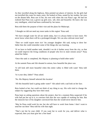Reta told them the purpose of their visit and the plans for Mahavapi.

very intelligent, which had been confirmed by her tutors.

'I thought we did not need any more tanks in this region' Puna said.

'We have enough water for all our needs today, but it is always better to have more. We never know when there will be a prolonged drought. We can also cultivate more land'

realized that Puna was a grown up girls now, tall, slim and beautiful. He knew she was

'Then we could export more rice' his younger daughter Abi said, trying to show her father that she could remember some of the things she was learning.

'If we have to build another tank, shouldn't we do it further away from the city, so that we could improve the living conditions of people who live in more remote areas?' Puna asked her father.

'Once this tank is completed, His Majesty is planning to build other tanks'

At the summit Puna and Abi shouted in unison, how beautiful the place was.

'It will look still more beautiful when this entire valley is filled with water' Reta told them.

'Is it your idea, father?' Puna asked.

'No. His Majesty himself selected this location'

'All this beautiful land is going under water?' Abi asked with a sad look on her face.

Reta looked at her, but could not think of any thing to say. His wife tried to change the subject by suggesting they have their meal.

Puna kept on asking questions about the project, that for a moment Reta suspected if his wife had put her up to it, to convince him that she was capable of working for him. But the innocent face of his daughter convinced him that she would never deceive him.

'May be Puna could work for me, but she will have to work from home. I don't want to send her out there' Reta told his wife that night.

'That's not fair by your child. If you want her to work for you, and deliver what is expected, then you must give her a free hand'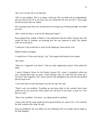'How can I do that, she is my little girl'

'That is your problem. She is no longer a little girl. She can think and act independently and you must let her do it, the same way you would have let your son do it'. Once again she did not press him any further.

Next morning when Puna was serving him his morning cup of herbal porridge, he looked up at her.

'How would you like to work for the Mahavapi Project?'

Puna stepped back, unable to believe if she understood what her father had just said. She waited for him to continue, not knowing how she was expected to reply. Her mother came out to the porch.

'I asked her if she would like to work for the Mahavapi' Reta told his wife.

Mother looked at daughter.

'I would love to' Puna said with joy, 'but.' She stopped and looked at her mother.

'But what?'

'What am I supposed to do there? I did not study engineering science' Puna asked her father.

'I need a Progress Chaser for the Project, because H.E. wants it completed within one year. Already three days are gone. I need someone who can work hard and some one i can trust. I have engineers, but i need a person with intelligence and a person one hundred percent loyal to me'

'I can work hard, as hard and long as any boy my age' she said.

'There's only one problem. Travelling up and down daily to the worksite from home would not be very practical, which means you will have to stay there, at least for a few days at a time'

'That is not a problem. You know i can adapt myself to anything'

'I know that, but the camp would not have good facilities for a girl to live. You would be the only woman at the camp' he said.

Puna was thrilled by the way father was now thinking of her as an adult, and no longer as his little daughter.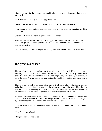'She could stay in the village, you could talk to the village headman' her mother suggested.

'So tell me what I should do, i am ready' Puna said.

'She will not let you in peace till you explain things to her' Reta's wife told him.

'I have to go to Mahavapi this morning. You come with me, and i can explain everything on the way'

She ran back inside the house to get ready for the journey.

Puna went down on her knees and worshipped her mother and received her blessings, before she got into the carriage with Reta. Abi ran out and worshipped her father first and then her elder sister.

'You will have your turn when you have completed your studies' Reta stroked her head.

#### **the progress chaser**

The camp had been set up further away from where they had turned off the previous day. Reta explained that it was at the foot of the hill, closer to the river, for easy coordination of all the work. Already a road had been cleared, on priority, for a carriage to travel right up to the camp. The next time the king visited, he would not want to walk more than a few feet.

There was only a cook in the camp when they arrived. Puna followed her father, as they walked through shrub jungle in search of the survey team, absorbing everything she saw and heard, not yet knowing what was important and what was not, or what could be useful later on. For the moment, she had to assimilate every tiny bit of data.

An elderly man walked up to Reta. He introduced himself as the headman of Delwita, the village nearest the camp. Men from his village had been ordered to assist the surveyors by clearing the jungle in their path and carrying their equipment.

'May we invite you to our humble village for a meal and a little rest' he said with bowed head.

'How far is your village?'

'It is just across the rice fields'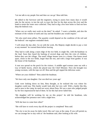'Let me talk to my people first and then we can go' Reta told him.

He talked to the Surveyor and the engineers, trying to assess how many days it would take for the survey, to test the soil, to trace the line for the dam across the river and the bund to retain the water once collected. They had to dig a few bore holes to find out how deep the bedrock was.

'When can we really start work on the dam?' he asked. 'I want a schedule, and also the estimate of the volume of earth and clay and the boulders you would require.'

'We also need stone pillars. The quantity would depend on the condition of the soil and the bedrock' one engineer reminded them.

'I will return the day after. Go on with the work, His Majesty might decide to pay a visit at any moment' he warned them before leaving.

They had to walk along a main ridge of the rice field, in single file, with the headman in the lead. Soon they heard the barking of several dogs and then the cries of children, before they saw the village. The small village houses were in a cluster. One house stood apart, closer to the rice fields, larger than the rest, and with a large front garden. It was the house of the headman.

A mat was spread on the porch for the visitors. A middle aged woman came out with a tray of beetle leaves, which she placed near the Chief Minister. Next she brought two young coconuts, with the tops cut off. Reta and the girl sipped the delicious water.

'Where are your children?' Reta asked the headman.

'We have only one daughter. Our son died two years ago'

Gods were looking down on him, Reta thought, as he realized this was where his daughter could stay. This family would look after her very well. With a family like this, and so near to the camp, he need not worry about Puna. He was a man who judged people by the first impression he had of them. So far this had never failed him.

'My daughter will be working for me on this project' he told the headman, who acknowledged her presence now with a slight bow.

'Will she have to come here often?'

'She will have to work every day till the project is completed' Reta said.

'The city is too far away for daily travel. She can't stay at the camp. If you will permit us, we can arrange her to stay with us' the headman said, after looking at his wife.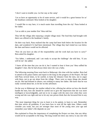'I don't want to trouble you. Let her stay at the camp'

'Let us have an opportunity to be of some service, and it would be a great honour for us' the headman continued. Reta looked at his daughter.

'I would like to stay here, it is much easier than travelling from the city' Puna looked at her father.

'Let us talk to your mother first' Reta told her.

They left the village after enjoying a simple village meal. The food they had brought with them was offered to the headman's family.

On their way back, Puna realized that the camp had been built below the location for the dam, and wondered if it had been intentional. The village they had visited too was below the dam and hence would not be affected.

'Now do you have an idea of the responsibility and the work bad you have to carry?' Reta asked his daughter.

'Yes father, i understand, and i am ready to accept the challenge' she told him, 'if you will let me' she added.

'I knew all the time that you can do it, but I wanted to hear it from you' Reta ruffled his daughter's hair, like he had always done since she was a baby.

The following morning Puna went back to Mahavapi, this time with her mother. Reta had to attend to the palace duties and report to the king on the progress of the Project. He had told Puna several times, to be careful, to keep her distance from the men, not to argue with them, not to go out alone from the village. There were so many things she should not do. She had listened in silence, not wishing to annoy her father. She knew that he was really worried about her, to let her on this adventure.

On the way to Mahavapi, her mother talked to her, offering her advise on how she should handle the men, how she should be careful not to give the impression that she was more intelligent or knowledgeable, and not to try to argue with the men even when they were wrong and she was right and not to let any one person think that she favoured him in any way.

'The most important thing for you to learn is to be patient, to learn to wait. Remember that time solves all problems, if you learn how to wait till the right time. Others could consider you weak, but you are stronger than most of the young men your age and remember your father's life depends on you'

She explained to Puna the importance of completing the Project on time, that any delay would not be acceptable to the king. The king would not show any mercy to any one who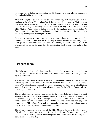let him down. Her father was responsible for this Project. He needed all their support and they had to help him in every way.

They had brought a lot of food from the city, things they had thought would not be available in the village. The headman's wife had welcomed them warmly. Their daughter was about the same age as Puna. Her name was Sumana. She gave a shy smile and withdrew to a side, not knowing how she could treat this city girl, the daughter of the Chief Minister. Puna walked up to her, took her by the hand and began talking to her. At first Sumana only replied in monosyllables, but slowly she opened up. The two mothers sat talking on the porch, like long lost friends.

Puna wanted to start work at once, but she was made to have her noon meal first. The headman and Sumana came with her to the camp, while her mother left for the city. It had been agreed that Sumana would assist Puna in her work, but Puna knew that it was an arrangement for her safety more than the contribution that Sumana could make in her work.

# **Tisaguta thera**

Mayahala was another small village near the camp site, but it was above the location for the new dam. Once the dam was completed it would go under water. The villagers were not aware of it, yet.

The people in the village became suspicious about the king's officials, and the work they were doing near the river, when it was noticed that they seemed to be avoiding the village temple. The officials passed through the village sometimes on their way to attend to their work. A few men from the village were already working for the officials from the city, as ordered by their headman.

The Mayahala temple was the oldest temple in the region, believed to have been built soon after the arrival of the first Buddhist monks to the island, bringing the message of the Buddha. Everyone who passed through the village would make it a point to visit the temple, offer flowers and incense to the Buddha and the Bodhi tree, and pay their respects to the Chief Monk. The temple was a popular resting place for travellers, on their way to the Southern region for business or on pilgrimage.

The village elders drew the attention of the Chief Monk to the activities of the king's officials and their suspicious behaviour. The headman did not offer any explanation and did not appear to have any interest in learning what their business was, or what they were doing so close to their village.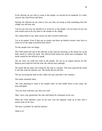'If the officials do not wish to come to the temple, we should not be bothered. It is their concern' the Chief Priest told them.

'Perhaps the officials do not wish to face you, they are trying to hide something from the village' one old man said.

'I do not see why any one should try to avoid me or the temple. I do not know of any one who would want to do any harm to the temple or the village'

'We cannot think of any other reason for their secretive behaviour'

'Let us be patient. Even if they put on masks and dress up behind curtains, they have to come out on the stage to perform their dance'

Yet the people were not happy.

The Chief monk met one of the officials on the road one morning, as the monk was on his daily round to collect his meal. The official knelt before the monk and worshipped. The monk waited for the official to speak.

'We are sorry we could not come to the temple. We are on an urgent mission for His Majesty and could not find the time' the official said, haltingly.

The monk did not reply, but waited for the man to continue. The man expected the monk to ask him what his mission was. The monk did not ask him.

'We are surveying the land on this valley' the man said after a few minutes.

The monk remained silent.

'We were planning to come to the temple when we had settled down in the camp' the man said again.

'You are most welcome, any time you want'

'May i have your permission' the man said before he continued on his way.

When the Chief Minister came on his next visit the engineer came up to him with a serious look on his face.

'We have a problem' he told the minister.

'What is it?'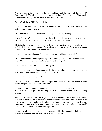'We have studied the topography, the soil conditions and the quality of the bed rock' Hagara paused. 'The place is not suitable to build a dam of this magnitude. There could be continuous seepage and the threat of a breach all the time'

'We can't tell that to H.M.' Reta told him.

'That is not the only problem. Even if we build this dam, we would never have sufficient water to store in such a vast reservoir'

Reta tried to convey the information to the king the following morning.

'If this fellow can't do it, find another engineer. I thought he knew his job. Any fool can see that it is the best location for a tank' the king told the Chief Minister.

'He is the best engineer in the country, he has a lot of experience and he has also worked with his father in the construction of several dams. I do not know of any one else in our country, who could handle such a large project'

'If that is the case start looking for someone from our neighbouring countries'

'How do we know if the Irrigation engineer has changed sides?' the Commander asked Reta, 'May be he doesn't want us to succeed with this project'.

'He will never do that' the Chief Minister replied.

'He could be bought' the Commander said. 'Our enemies in the South are always on the watch-out for any opportunity to create trouble for us'

'They don't have any funds now'

'You don't know the amount of gold and precious stones that are still hidden in their ancient temples' the Commander continued.

'If you think he is trying to sabotage the project, you should look into it immediately. Send a few of your agents to the camp site. I want a report within a week' the king ordered.

The Chief Minister was aware that getting down an engineer from across the sea would take several months, and even then he doubted if they could find a man as good as or better than their own engineer. He also knew from the way the king reacted to the Commander's idea, that the engineer's days were numbered. Ultimately the king would hold him responsible for any delay of the project.

He sent royal messengers to several countries, while he persuaded their irrigation engineer to continue with the work, the way the king wanted.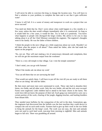'I will never be able to convince the king to change the location now. You will have to find a solution to your problem, to complete the dam and to see that it gets sufficient water'

'I know it will fail. It is a waste of money and manpower to work on a project that can never succeed'

'You need not think that far. Don't worry about what could happen in a few months or a few years, unless the dam would collapse immediately after it is constructed. As long as it would hold for a few years, it would be fine. Try to look at it positively. You know what happens to people who disregard the king's wishes. My advice is for you to stop talking about it at all' the Chief Minister reminded the engineer. The engineer's thoughts went to his family. He was the father of three children.

'I think the people in the next village are a little suspicious about our work. Shouldn't we tell them what the project is all about?' Puna asked her father, after she had made her report on the progress.

'No, not yet. They will start making a lot of unnecessary demands and complaints, then we will not get the maximum output from the workmen'

'There is a very old temple in that village. Can i visit the temple sometime?'

'I don't mind, you can go with Sumana'

'What if the monks ask me about my work'

'You can tell them that we are surveying the land'

'That would not satisfy them. I will have to put off the visit till you are ready to tell them what we are doing' she told her father.

By then more and more men were summoned to work. These men had to abandon their farms, rice fields, and all other work. Only the very feeble, old and the sick were excused. Farms were neglected. Little children had to attend to the basic chores in the farms. The work force did not know the purpose of their toil. Each gang was instructed to carry out a certain portion of the work, clearing of the jungle, digging trenches, and hauling boulders from distant hills.

They needed more buffalos for the compaction of the soil in the dam. Generations ago, the engineers had discovered that the buffalo was the best machine they could device to compact the soil on such earth works. Farmers had to give up their work in the rice fields to bring the animals for the king's work. The work was not easy, the men and animals were not used to such hard work, non-stop from morning to nightfall. Men and animals began to fall sick. There was grumbling all around.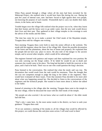When Puna passed through a village where all the men had been recruited for the Mahavapi Project, she realized what it would have been like during the war. During the past few years of internal wars, men had been forced to fight against their own people, not knowing the purpose of such murder. Womenfolk had to carry out double their daily chores, in the farms, and at home.

Trouble began once the village folk realized what the project was to be, when they learnt that their homes and the farms were to go under water, that the new tank would drown their lives and their past. They gathered at their village temples in the evenings to seek the advice of the monks and the elders.

'The time has come for us to make a protest' the Chief monk of the Mayahala temple, Tisaguta thera told his villagers one evening.

Next morning Tisaguta thera went forth to meet the senior official at the worksite. The monk told the engineer about the fears of the village folk. About the possible devastation of the forest and the plantations, about the loss of house and property. He explained that the people did not have any place to move. He also told of the danger to the ancient temple, and to several other temples, which would all be submerged'

The engineer listened with patience and respect and then explained his own position. He was only carrying out the King's orders. If he failed he would be put to death and someone else would come in his place. The king had decided to build the reservoir at this place, and it had to be built. There was no one who could question the king's decision.

Puna listened to the conversation. She realized that what the monk said was true. The devastation that would result from the tank would be enormous. Then she thought that she was not competent enough to judge the king or her father or the engineers. They would have evaluated all these issues. From that moment Puna decided to be more alert about what was happening around her. She decided to listen to the conversations of the engineers and the technical people. She wanted to learn more about it, before she talked to her father.

Instead of returning to the village after the meeting, Tisaguta thera went to the temple in the next village, where he discussed the issue with the chief monk of the temple.

'My people are also worried. I do not know what we could do about it' the elder monk had told him.

'That's why i came here. As the most senior monk in the district, we have to seek your guidance' Tisaguta thera said.

'If we can summon a meeting of the monks in all the villages that would be affected by this project, we could discuss this and plan some action. I will send word to them'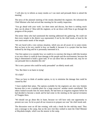'I will also try to inform as many monks as I can meet and persuade them to attend the meeting'

The news of the planned meeting of the monks disturbed the engineer. He informed the Chief Minister who had arrived that morning for his weekly inspection.

'You go ahead with your work. Let them meet and discuss, but there is nothing much they can do about it' Reta told the engineer, as he sat down with Puna to go through the progress of the project.

The senior thera who had summoned the meeting addressed the gathering. He could see that every temple in the district was represented, if not by the chief monk, at least by the next most senior monk of the temple.

'We are faced with a very serious situation, which you are all aware of, to some extent. But we have to be very careful in how we handle it, because it is a project that has been ordered by the king and he is personally interested in it.

'Our first option is to consider how we could try to convince the king to shift this location to an area where it could do least damage to the people and the environment, because the king is determined to build a giant tank. If we can show him an alternate site, may be we can persuade him to abandon this site'

'He is not a person who could be easily persuaded' an elderly monk said.

'Yes. But there is no harm in trying'

'If it fails?'

'Then we have to think of another option, to try to minimise the damage that could be caused by this'

'I have studied their plans. The options available for the engineers are also very limited, because this is not a suitable place for a large reservoir' another monk contributed. The others looked towards him for more details. He had been an irrigation engineer before he had decided to become a monk and he had come to the meeting on the special invitation of Tisaguta thera.

'We should not go about this in haste, because we will have only one opportunity to present our case. So let us pool all our resources to prepare our case' the chief monk said.

The discussion went on till late evening, with only a break for the mid-day meal. They sent a message to the camp, that on the next visit they wished to meet the Chief Minister at Mayahala temple, which was the nearest to the camp.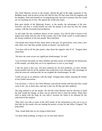The Chief Minister arrived at the temple, offered the gift of the eight requisites of the Buddhist monk, and sat down on the mat laid for him. He had come with his engineer and his daughter. Puna had insisted on accompanying him, but had to promise that she would not say anything out of turn. She agreed she would only listen.

Reta gave details of the Mahavapi Project to the monks, the advantages of the new reservoir, and how it would benefit not only the people in the area but also the whole country, with the increased food production.

'It will make this the wealthiest district in the country. You will be able to boast of the largest man made tank not only in this country, but in the whole world. It would improve the living conditions of all your people' Reta told them.

'Our people have heard all this, many times in the past, for generations, every time a new ruler takes over. But they usually remain as dreams' one monk said.

'You have told us all the plus points, what about the negative side of it?' Tisaguta thera asked Reta.

'We have not come across any significant disadvantages' he said.

'Loss of homes and farms for these families and their means of livelihood, the destruction of this temple, you think they are of no significance to you or your king?'

'I did not mean it that way. We have solutions for all such problems, we have already found suitable land for all the families that would have to be relocated. The advantages of what the reservoir could provide far out weighed the disadvantages' he said.

'Could you get us an audience with the king?' Tisaguta thera asked, realizing the futility of any further discussions.

'I do not know. I will try' the Chief Minister said and the monks told him that they would come to the city in three days, and stay in the city till they got their audience.

The king refused to see the monks. He told the Chief Minister that his decision to build the tank would not change, so there was no need for him to meet the monks. When Reta tried to plead with the king, he was told to increase the funds to be released for the relocation of the temples.

'Why don't you talk to some of the chief monks of the monasteries in the city to try to find jobs for the monks who are leading the protest, at least for that fellow Tisaguta? The king asked.

'They would think that we are trying to bribe them'

'Let them think anything, as long as we can buy their silence'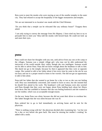Reta went to meet the monks who were staying at one of the smaller temples in the outer city. They had refused to accept the hospitality of the bigger monasteries and temples.

'We are not interested in re-location' one monk told the Chief Minister.

'Do you think that a temple can be relocated like any ordinary house?' Tisaguta thera asked.

'I am only trying to convey the message from His Majesty. I have tried my best to try to persuade him to meet you' Reta told the monks with bowed head. He could not look up and meet their eyes.

#### **puna**

Puna could not share her thoughts with any one, seek advice from any one at the camp or the villages. Sumana was a simple village girl, who may not be able understand the intricacies of the world outside their valley, though she was intelligent. Sumana would not be able to advise Puna. Puna did not know enough about the headman to talk to him. She dared not go to the temple, because by then it appeared that they were at opposite camps. She wanted to talk to her father about it but every time he came to the site he was too busy and not in a proper mood to listen to her worries. She did not get an opportunity to talk to him alone.

Puna told her father that she wanted to go home for a day or two as she was not feeling well. Reta was immediately concerned, and wanted to leave at once, but she insisted that he should first attend to his work. The headman's wife and Sumana were also worried and Puna thought that they were not happy about Puna holding back about her illness from them. But she confided in Sumana that she was feeling homesick and she wanted to see her mother, which was an acceptable enough reason.

On the way home Puna was silent, because she did not want their driver to overhear her. Her father thought that she was silent because she was ill.

Reta ordered her to go to bed immediately on arriving home and he sent for the physician.

'There is nothing wrong with her' the physician decided after examining her. 'Let her rest for a day or two before she goes back. She must be missing her mother's cooking' he added with a smile.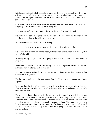Reta heaved a sigh of relief, not only because his daughter was not suffering from any serious ailment, which he had feared was the case, and also because he needed her presence and her reports on the Project. He had not realized till that day how much he had come to depend on her.

Puna waited till she was alone with her mother and then she poured her heart out, everything that had been bottled up for so many days.

'I can't go on working for this project, knowing that it is all wrong' she said.

'Your father has come to depend on you, you can't let him down now' her mother told her, sitting on the bed by her side, stroking her head.

'We have to convince father that this is wrong'

'Don't even think of it. He has to carry out the king's orders. That is his duty'

'He doesn't have to carry out all the orders, not if they are wrong, not if they are illegal or harmful' she said.

'If you try to say things like that it is going to hurt him a lot, you know how much he loves you'

'Sometimes truth hurts, but not for very long. It is the lie that pleases you for the moment, that would hurt you for the rest of your life'

'You are becoming philosophical now. We should not have let you learn so much' her mother said in a lighter tone.

'The last few days I learnt a lot, much more than I had learnt from our tutors' was Puna's response.

Puna described the lives of the people in the villages by the river, the scarcity of food and other basic necessities. The condition of the houses, which were no better than the cattle sheds near the city.

'There is one village where they live in pits. It's the first time I saw such houses. You have to see one of these houses for yourself to know what they are like. I had a look inside one house. It was so dark inside. A woman explained to me how it was built. First they dig a pit and tamp down the ground to harden the floor. They apply clay and cow dung to smoothen the floor. Then a conical roof is built over it with sticks and covered with straw. They don't build any walls. You have to jump down in to the house' Puna told her mother.

'Where do they sleep?'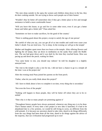'The men sleep outside in the open, the women and children sleep down in the hut, they do their cooking outside. We are trying to throw such people out of their homes'

'Wouldn't they be better off somewhere else if they get a better place to live and enough assistance to build a more comfortable house'

'Will you leave this house, to go and live in some other town, even if you get a better house and father gets a better job?' Puna asked her.

'Sometimes we have to make sacrifices, for the good of the country'

'There is nothing good about this project, except to satisfy the ego of one person'

'Be careful of what you say, you can get all of us into trouble and could even cause your father's death. You are tired now. Try to sleep. In the evening we will go to the temple'

Mother and daughter spent more than two hours at the temple. After offering flowers and lighting the oil lamps, they sat down in meditation on the sandy floor under the Bodhi tree. The sun had gone down and it was dark by the time they reached home. Reta was pacing up and down the porch, waiting for them.

'You came home to rest, you should stay indoors' he told his daughter in a slightly annoyed tone.

'The visit to the temple is also a rest for me, i did not have a chance to go to a temple all the time i was at the project site'

After the evening meal Puna joined her parents on the front porch.

'Father, what do you really think about this project?'

'All i have to think about is how to complete it on time, every thing else is secondary'

'Not even the lives of the people'

.

'Nothing will happen to those people, they will be better off where they are to be resettled'

'Then why is it that so many people are protesting against it'

'Throughout history people have always protested, whenever any thing new is to be done. That's human nature. If every time a new project or new idea is launched, if it had to be abandoned due to a few protests, we would be still living in caves, no different from the wild animals. It is because our ancestors dared to take risks, dared to do things differently from the way things had been done all the time, dared to do things against the advice of the majority, that our civilization had progressed up to now'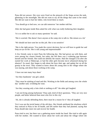Puna did not answer. Her eyes were fixed on the pinnacle of the Stupa across the tank, glistening in the moonlight. She did not want to say all the things that came to her mind. She did not want to hurt her father, who loved them so much.

'You should go to bed now, we can talk tomorrow' her mother told her.

After she had gone inside Reta asked his wife what was really bothering their daughter.

'It is so unlike her to ask so many questions' he said.

'She is worried. She doesn't have anyone at the camp site to talk to. She misses us a lot'

'We should not have sent her on this job. She is too sensitive'

'She is the right person. You made the correct decision, but we will have to guide her and keep an eye on her. She is still young and impressionable'

A few friends came to meet Puna the following day. She had grown up with them, and were among her closest friends, but today she felt there was a widening gap between herself and her friends. She could not identify the reason. Had she changed a lot after she started her work at Mahavapi, or had the other girls become more urbanized during her absence? As usual, they began to talk about the boys their age, and update her on all the gossip in the town. They wanted to know about the young men in the village where she was staying, and about those working at the camp.

'I have not met many boys there'

'Are they handsome' one girl; asked.

'They must be stinking of mud and dirt. Working in the fields and among cows the whole day' another said, wrinkling her nose.

'Are they wearing only a loin cloth or nothing at all?' the other girl laughed.

'I am not living among barbarians' Puna said, tired of the ir questions. 'They are very nice people, and better behaved than most who live in this city'

'Ah, she is already defending them, there must be a reason for it' they all laughed.

Yet it was not the jovial banter of the old days. Her friends attributed the aloofness which they noticed in Puna to her ill health, and left earlier than they had planned, saying that Puna should take more rest and recover her health.

Puna tried to rest, but there was a gathering storm inside her head. She tried to talk again with her mother. Abi wanted to know about her work and about the village where she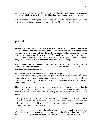was staying and about Sumana. Puna wanted to tell her sister every thing that was going through her mind, but knew that she should not burden the young girl with such worries.

She realized that it was her problem, for which she had to find her own solution. She had to work it our by herself, no one else could help her. She went back to the camp the next morning.

#### **protest**

Three officers from the Chief Minister's office arrived at the camp one morning, along with two monks from the city. They explained to Hagara that the chief monk of the monastery in the city had sent them to talk to the monks and the villagers, to convince them of the advantages of the new reservoir. The monks would stay for a few days, at a temple a little distance from the project, which had been arranged by their chief monk. They did not want to stay at any of the village temples or at the camp.

The city team visited each village, meeting as many people as they could gather in one place. They visited the temples too, where they were received without much warmth, and sometimes with open resentment.

The officials tried to explain to the families in their villages, that even though they would lose their farms and houses, they would be given alternate land, down river, where they could make use of the water from the new reservoir. They tried to paint a picture of fertile land, ample water and better roadways. The king was planning to build a new hospital to serve all the new villages.

They explained to the gathering, that water has to be stored in the tank for the drought periods so that water was available, un-interrupted. They pointed out the advantages of cultivation during the dry season too. The village folk would be able to feed the whole country.

'The dry season is the best growing season. The yield would be much higher. There would be fewer problems from pests and weeds. New crops could be introduced, the office for agriculture would provide for all the seeds and provide all assistance to introduce new crops and new varieties.

Since the area was much closer to the main sea port, they should think of export crops, which would mean real money, gold coins, coming into the villages. They could be rich. The villages could grow up to be towns. We could make this the Rice Bowl of Asia.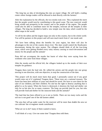'The king has an idea of developing this into an export village. He will build a trading centre where foreign traders will be allowed to deal directly with the farmers'

After the explanation by the officials, the two monks took over. They explained the merit that the people would earn by contributing to this good cause. The new reservoir would bring wealth and prosperity to the country and to the people of the region. The people could also be able to contribute more for the temples, renovate all the temples in their villages. The king has decided to build a new temple near the dam, which would be the tallest stupa in the world.

'It will be the tallest and the largest stupa not only in this country, but in the whole world. You will be partners in this project and will earn much merit from it' one monk said.

'We have been talking about the benefits for your region, but there will also be advantages to the rest of the country down river. The dam would control the floodwaters downstream, during the rainy season. The villagers should think of all the low-lying areas, which were getting flooded every rainy season, causing so much devastation and misery for the people and the animals'

Puna did not accompany the monks but learnt of what they were saying from the workmen who came from those villages.

After the monks and the official left, the villagers looked up to the monks of their own temples for guidance.

Tisaguta thera took the lead role. He rallied the priests and the people into one group moving in one direction, with one objective, to stop the construction of the dam.

'This project will do much more harm than good. I personally cannot see if any good would come out of it' explained Tisaguta thera. 'These trees are a national treasure. The forest has been here millions of years and should be saved. We have to save them for the sake of our children, and their children. No one has the right to destroy anything that is gifted to us by nature. When the forest is destroyed, it destroys the food and shelter not only for us but also for so many creatures. The king can provide land for you, but who will provide food and shelter for the innocent birds and the animals?'

'The land that has been offered to us is not so fertile. There are too many rocks and the soil too is not good' one of the old farmers added.

'The area that will go under water for the reservoir will be more than double the area we can cultivate' the ex-engineer monk contributed.

'What are we to do?' many of them wanted to know.

'I will think of a way. Give me some time' Tisaguta thera told them.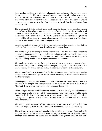Puna watched and listened to all the developments, from a distance. She wanted to attend the meetings organized by the monk, not because of any disloyalty to her father or the king, but because she wanted to learn both sides of the issue. She had been carried away first by the enthusiasm of her father and the engineers, to construct the reservoir. She did not want to get carried away in the other direction now, by all that she was hearing from the village folk.

The headman of Delwita did not know much about the issue. He had not shown much interest because his village would not be directly affected. He thought he had to be loyal to the Chief Minister because his village had been chosen to recruit the first workers for the project. The Chief Minister had let his daughter stay with the headman. People in the region will be talking about it for generations to come. His house would be referred to as the 'house where the Chief Minister's daughter stayed'

Sumana did not know much about the protest movement either. She knew only that the monks in their temple too had started working with Tisaguta thera.

The monks began to visit temples in the other districts. The chief monk had advised the others to try to get the support of the main temples in the city, for they carried much clout with the king and the palace officials, and they could also influence the thinking of the city folk. The city temples were assigned to the more senior monks.

The monks in the city temples did not show much interest, they were always too busy. There was always a lot of activity in these temples, compared to the slow pace of the village temple. The monks from the village felt as if they were in a different country.

The monks did not have to go out to beg for their noon meal, every day there was an alms giving either in a house of a palace official or rich merchant, or a family would bring the meal to the temple.

In the larger monasteries, which housed more than ten thousand student monks, food was prepared in the temple. The teacher monks did not even wish to listen to the issue of Mahavapi. They were too engrossed in their academic discussions.

When Tisaguta thera learnt of the situation and response from the city, he decided to send several young monks to work with the student monks. They were told to identify monks from their district first, and to work on their young minds to try to convince them of the urgency and the gravity of the situation. Through them the teachers and elder monks could be approached.

The students were interested to learn more about the problem. It was arranged to meet them in small groups to be briefed. They in turn would brief others in the monastery.

The activities of the monks were brought to the attention of the Army Commander. He assigned several of his undercover men to disguise themselves as student monks. Through these operators he learnt that the students were getting involved and were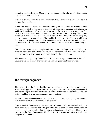becoming convinced that the Mahavapi project should not be allowed. The Commander reported the matter to the king.

'You have the full authority to stop this immediately. I don't have to know the details' the king did not elaborate.

A few days later the monks who had been working in the city had all returned to their temples. Puna tried to find out why they had given up their campaign and returned so suddenly, but either the village folk were not aware of the reason or were not prepared to tell her. She was worried that the monks had been forced to leave the city and that her father could have a hand in it. She could not ask her father, who would deny any involvement or knowledge about it. She would still not know if her father was telling her the truth, or was lying to her, which he had never done before. Even if he lied, she would not know if it was in her best interest or because he did not want her to think badly of him.

Her life was becoming too complicated, the worries that kept on accumulating was affecting her work, some times she could not concentrate on her work, she missed important events to be recorded or to be scheduled for the coming days.

The protest campaign away from the city, in the remoter regions continued as far as the South and the hill country. The work on the dam also progressed uninterrupted.

## **the foreign engineer**

The engineer from the foreign land had arrived and had taken over. No one at the camp knew what happened to Hagara, their own engineer. The new man began pushing every one around, urging them to work faster. He said he had to meet the deadline, and wowed that he would do it, at any cost of money, men or material

At every turn he ridiculed the former engineer. He did not listen to any one, and expected total servility from all those involved in the project.

Hagara who had been in charge of the project had been suddenly recalled to the city. He never came back. Rumours began to spread that he had been beheaded on the orders of the king, that he had been banished from the city, imprisoned, his wife and children given as slaves to the Army Commander. The Chief Minister avoided a direct answer when his daughter asked about it.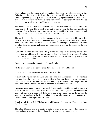Puna realized that the removal of the engineer had been well planned, because the following day her father arrived with the new engineer. He was from across the seas, from a neighbouring country. He could speak their language to some extent, which made some workmen remark that he was a stone mason who had been picked because he was the only person available who could speak their language.

The doubts about her father's involvement with all these activities made Puna drift away from him day by day. She wanted to get out of this project. By then she was almost convinced that Mahavapi Project was wrong, that it would only cause devastation and misery. She did not know how she could tell this to her father.

The incident about the engineer and the actions of the new engineer pushed her towards a decision. The work on the dam continued. The Engineer wanted to meet the deadline. More men were needed and were summoned from other villages. The maintenance work on other dams and canals and roads were suspended, to provide the manpower for the new project.

Puna told her father the she wanted to go home for a day. In the evening she told her mother that she did not wish to go back to the site. Puna begged her to convey it to her father. Mother did not press her for details, she knew the reasons. Her worry was how her Puna's father would take it.

Reta accepted his daughter's decision philosophically.

'If she is not happy then I don't want to force her to work' was all he said.

'How are you to manage the project now?' his wife asked.

'I can't find a replacement for Puna. She was doing such an excellent job, I did not have to worry about the project or its progress till now. But now that the foreign engineer is here, may be he can take on some of the responsibility. He seems to be a tough character and a hard worker. What I need now is some one to coordinate the work'

Reta once again went through in his mind all the people available for such a task. His mind paused on one face. He was an official who was working as the Superintendent in charge of their Western sea port. Reta knew him to be a man who had the capacity to work twenty four hours a day for several days at a stretch, who thrived on problems, who worked better when the pressure was more.

It took a while for the Chief Minister to recall his name. His name was Taba, a man from the hill country.

The Chief Minister sent a message to Taba to hand over his work to his second in command and to proceed to the city immediately for a very urgent assignment.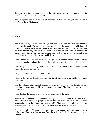Taba arrived at the Mahavapi site as the Project Manager to see the project through to completion within the target dates set.

The work progressed at a faster rate, till one morning they found Tisaguta thera seated at the foot of the half built dam.

#### **cita**

The protest led by Cita gathered strength and momentum, after the cruel and inhuman murder of the monk. The awareness among the village folk, about the possible harm of disturbing the ecosystem was very high. They knew how delicately their eco-system was balanced, though they would not have been able to express it in words, to explain it to Puna or any other city person. The villagers knew that any disturbance or disruption of the delicate balance could cause irreparable harm.

Even Sumana knew the fate that awaited the plants and animals on the other side of the dam. She explained to Puna the value of the small insects they found in the rice fields.

'See this spider' she one day showed a small web across several leaves of paddy, and in its midst a golden hued spider.

'Why don't you destroy them?' Puna asked.

'Because they are our friends. They catch the insects that come to our fields. So we need them here'

She showed many other examples. About the birds, who preyed on other harmful insects, ants that fed on the eggs laid by insects on the leaf blades. The fish in the muddy waters of the fields.

'They feed on the mosquito larva, so we can sleep well in the night'

Yet with all this knowledge, accumulated over generations, the people were scared to join any protest movement. The people knew that the king had no mercy for any one who went against his wishes. Nature was more merciful. They preferred to take a chance with any punishment that nature had in store for them, than the wrath of their king.

After the death of Tisaguta thera, even the other monks had lost some of their enthusiasm. There was also pressure from the village folk, for the monks to be more cautious.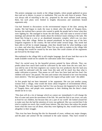The protest campaign was mostly at the village temples, where people gathered on poya days and sat in silence, in prayer or meditation. This was the only form of protest. There was always talk of marching to the city, proposed by the more militant youth among them, but such plans were limited to lengthy discussions and sometimes heated arguments only.

Cita had listened to discussions on the environmental impact of the dam among the monks. She had begun to study the issue in detail, after the death of Tisaguta thera, because she realized that a person who wanted to guide the people had to know what they were fighting for. She managed to locate the old monk, who had come to several of their meetings and advised the other monks about the technical issues relating to the tank. She found him living in a cave at an abandoned monastery complex which was two days journey fom their village. Before he entered priesthood, he had been one of the best irrigation engineers in the country. He had served under several kings. This monk had been able to tell her in simple language, what they should look for when building a tank or a dam, and what they should avoid. Thus Cita was able to explain to the village folk the damage that would be caused by the new dam. She could counter all the arguments put forward by the king's men.

She explained to the village folk in still simpler language, that all new land that was to be made available would not be suitable for cultivation under flow irrigation.

'Don't be carried away by the beautiful pictures painted by these officials. They can predict about how much land could be cultivated by the water from the new tank, but i was told by one of the best engineers our country has ever produced, that the land area that could be cultivated with the water from this tank will be much less than what is under cultivation at present. That means we will have less farm land and less food. Our children will starve' she paused. The men and women who listened to her were becoming more attentive. 'The best agricultural land in the region will go under water' she added.

At first people had not been interested in her arguments. She was just another young woman from a village, what would she know about Irrigation of environmental effects, they thought. The only regard they had for Cita was because she happened to be the sister of Tisaguta thera, and people were unanimous in their thinking that the thera's death should not be in vain.

'This dam will do a lot of damage which we cannot see immediately It will change the flow of water and arrest the movement of the fish. We need the fish in our rivers, not only as food for our children, but because they are a part of our world' she looked around her to make sure that she had the attention of every one gathered. She was worried that if she tried to explain too much, they would loose interest. She also knew that unless the people learnt what this issue was all about, what they were fighting for, they would loose interest altogether in their struggle.

'This river has been flowing like this for thousands of years, without any major changes, and the plant and animal life has continued in the same manner. They have existed in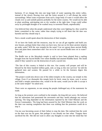harmony. If we change this into one large body of water spanning this entire valley, instead of the slowly flowing river and the forest around it, it will disrupt the entire surroundings. When water evaporates from such a large body of water it would affect the clouds over us and rainfall patterns probably for the entire country. We would not be able to plant anything, anticipating rain or dry weather at the right time. Crops could wither away by prolonged drought or be washed away in torrential floods, unpredictably'

Cita believed that when the people understood what they were fighting for, they would be better committed to the cause, rather than simply trying to tell them that the dam was harmful and they should stop it.

Next a monk would speak about the destruction of their temples.

'If we have the funds and the resources, may be we can all get together and build you new houses, perhaps better than what you have now, but can we let these ancient temples go under water? Will the new temples be the same? Can we uproot these ancient Bodhi trees and plant them somewhere else? Are we to let our sacred Bodhi trees rot in water?' he asked.

The Bodhi tree at the Mayahala temple is said to have been planted from a sapling brought from the Sacred Bodhi Tree where Buddha had attained Buddha hood. The monk asked if they wanted to see the destruction of such a sacred tree.

'The fate of this country is linked to this tree. Our country will prosper and will be blessed by the three hundred million gods, only as long as this tree survives' he told the gathered men and women. He paused for a while to let the listeners digest this information.

'The project would also drown one of the oldest temples in the country, our temple in this village. Even if we dismantle this temple brick by brick, stone by stone, carry it across and build a temple somewhere else, would it be the same, would you be able to accept it as the same temple?' he asked next.

There were no arguments, m one among the people challenged any of the statements he made.

As long as the protests were confined to the temples, the king did not worry. He believed that his informants had penetrated the movement and they would sabotage any serious uprising. The king depended on the information reported by the Chief Minister and the Forces Commanders. The king had been assured by the Chief Minister that the work on the dam was nearing completion that there was nothing that the protestors could do to stop it.

Cita too was becoming aware of their failure to stop the dam. She realized that the work on the dam was too far gone, that perhaps it was already too late when Tisaguta thera sacrificed his life. She did not want to allow any thoughts to come into her mind that her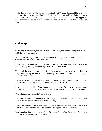brother had been wrong. She did not want to think that Tisaguta thera could have handled the protest in the wrong way, that he had misjudged the king and his officials and their own people. Yet, she would not give up. Cita was determined to continue the struggle, till the last minute, till the last stone had been fixed and the last bit of earth had been pressed down.

# **mahavapi**

As the king had expected, and his officials had predicted, the dam was completed in time, just before the rainy season.

Cita was not the only person to be disappointed. The king's face fell when he visited the reservoir after the dam had been completed.

'There should be more water in the tank. This looks smaller than some of the tanks around the city' the king turned in anger towards his Chief Minister.

'This is all the water we can collect from the river, and the flow below the dam has completely dried up already' Taba told the king. 'There will be no water for the people who live downstream'

'I expected a much greater flow of water' the king said again, ignoring the condition downstream. 'Is there any thing you can do about it?' he asked Uti.

'I have studied the problem. There is one solution i can see. We have to destroy the dam built further up, that will allow sufficient water to this reservoir' he replied immediately.

'Then what are you waiting for? Do it at once'

'That dam has been built hundreds of years ago to divert water to the main canal that leads to the tanks around the city' Reta told the king.

'I don't care where it leads to, but break it, if that is the only way you can fill this tank. I want all the water into this tank. This has to be the biggest tank in the country'

In the mood the king was in, none of his officers dared to explain the gravity of depriving the water to the city of over one million people.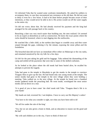Uti informed Taba that he wanted some workmen immediately. He asked his soldiers to accompany them, in case they encountered any resistance at the old dam. He did not want to delay it even for a few hours. It had to be done before people became aware of their intentions, or they would never be able to do it. His action would cut off the water supply to the entire city.

Uti did not worry about that. He had already received his payment and the king had arranged for his safe passage back to his country.

Breaching a dam was very much easier than building one, the men realized. Uti seemed to be an expert at demolition as well as construction. He knew the exact points where the rocks should be loosened, where to start digging into the earthworks.

He watched like a little child, as the earthen dam began to crumble away and then water seeped through the gaps, widening it by the minute, exposing the stone pillars and the foundation.

The breached dam did not have an immediate effect either on Mahavapi or the city tanks, and remained unnoticed by the city folk for a few days.

Uti left for the port taking his gold and his baggage. Taba ordered the dismantling of the camp and settled all the payments that were due to some of the skilled craftsmen.

As he looked at the place where the old monk had been buried alive, he recalled his attempts to prevent the tragedy.

Taba had gone to the temple in Mayahala to get the monks in the temple to convince Tisaguta thera to give up the fast. He had found only one young monk at the temple. The senior monks had gone to the temple in the next village where they were holding a meeting. Taba walked on, to the next village. At the temple he found over a hundred monks gathered inside the preaching hall. He went inside, worshipped the most senior monks and sat down on a mat.

'It is good of you to have come' the chief monk told Taba. 'Tisaguta thera's life is in your hands'

'My hands are tied, reverend Sir, I am helpless. I have to carry out His Majesty's orders'

'You have to do what you consider is right, not what you have been told to do'

'We all live under the rule of the king'

'Yes, but we are also given a brain to think, and an education to reason out the good and the bad'

'My wife and children are in the city, I have to think of them too'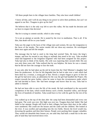'All these people here in the villages have families. They also have small children'

'I know all that, and I will do any thing in my power to solve their problems, but can't we appeal to our Rev. Tisaguta to give up his fast?'

'He believes that it is the only way left to save this valley. He has made his decision and we have to respect that decision'

'But he is trying to commit suicide, which is also wrong'

'It is not an attempt at suicide. He is seated by the river in meditation. That is all. If he dies, that death will be on your hands'

Taba saw the anger in the faces of the village men and women, He saw the resignation in the faces of the monks. The senior monks did not show any emotion. He worshipped them once again and left the temple.

The message that he had to send to the king had worried Taba. He knew the king's temper, and how he reacted to any thing or anybody that stood in his way. Taba recalled what had happened to the Irrigation Engineer who had been assigned for this project. Taba had also to think of his family. His wife was expecting their second child. His son was only three years old. Taba realized that he was helpless. He knew he was a coward, that he did not have the courage to face the truth.

It was only after he had taken up the job he learnt that the Chief Minister's daughter had been his predecessor. At first he felt degraded that he had to take over a task which had been done by a woman, a young girl at that. Slowly a respect began to grow in him for the girl he had never seen, an admiration for the way the girl had handled the Project. His respect towards her grew further, when he came to learn the circumstances under which she had decided to leave. She had been stronger and braver than he was, Taba had to admit to himself.

He had not been able to save the life of the monk. He had contributed to the successful completion of the dam, which would destroy such a fertile, beautiful valley, and disrupt the lives of hundreds of families. Taba would have to live with his guilt for the rest of his life.

Cita walked up to the top of the dam after the camp had been dismantled and every one had gone. The work was over. Her fight was over too. Tisaguta thera had failed. She had failed in her attempt. People still lived in their villages, but knew their days in the valley were numbered. She could see the houses and the cattle and the children. She looked at the river. It was swollen and spreading into the rice fields. Slowly the level would rise, drowning the gardens and then their houses. People were packing their meagre valuables. They would not demolish their houses yet, not until they had built a small hut in the new plot of land they had received down river.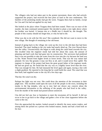The villagers who had not taken part in the protest movement, those who had actively supported the project, had received the best plots of land in the new settlements. The families of the protesting monks had got the worst. Tisaguta thera had no family, except for Cita and Cita had not applied for any land.

She looked at the place where Tisaguta thera had been seated. There was no trace of the murder, the dam continued uninterrupted. She decided to plant a tree right above where her brother was buried. A banyan tree or a Bodhi tree it should be, she thought. The people of this country should not forget him, or why he had to die.

What was she to do with her life now? She wondered. She did not want to move to the new village. She thought of remaining in her old house.

Instead of going back to the village she went up the river to the old dam that had been breached. The canal leading to the city tanks had nearly dried up. The river flowed down into the valley. Unconsciously she began to walk along the canal bund towards the city. She recalled what the engineer monk had told her about this canal, the amount of planning and hard work that had gone into its construction. The surveyors had predicted that it was not possible to take the water from the river into the city because the land was so flat. Water flowed from higher levels to lower levels. That was the way nature had planned. On very flat ground, it may not flow at all, and it would never flow uphill. The engineer in charge of the project had been the great grand father of the engineer monk. He had not given up. He found that the city was at a slightly lower level than the river. That was enough for him. He had measured the level again and again, tracing a line with a slight gradient. He reported to the king that he could build the canal. The canal that was thus built, had supplied water to the city till a few days ago.

That day the canal was dry.

Perhaps her fight was not over. She could draw the attention of the townsmen to their plight now. This incident could open the eyes of all the people in the town, including the monks in the big temples, who up to now had not shown any concern about the environmental devastation or the suffering of the people who had lived in the valley. Even the murder of the monk had passed almost unnoticed.

Cita did not feel any fear or hesitation to meet the townsmen all by herself. It did not occur to her to go back to the village and gather a few of her close supporters before she came to the city.

First she approached the market, looked around to identify the more senior traders, and among them she picked on a person who looked mature, steady and had a kind look on his face.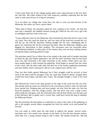'I have come from one of the villages going under water today because of the new dam' she told him. The trader looked at her with suspicion, probably expecting that she had come to seek some favour or to beg for assistance.

'It is not about our village that i came here, but only to warn you that because of the Mahavapi, this entire city faces a grave threat'

'What kind of threat' the merchant asked her now, looking at her closely. He had first seen only a beautiful, but shabbily dressed young girl. What he saw now was a girl with an intelligent and brave look in her eyes.

'To get sufficient water for the Mahavapi, they breached the dam that diverts water to the city canal. Now the canal has dried up, and very soon all the reservoirs around the city will dry up' she told the merchant, looking straight into his eyes, challenging him to ignore her statement, like all the townsmen had done when the Mahavapi villagers came begging for intervention in their problem. The townsmen were not concerned about environmental problems in other parts of the country, they were too busy making money, serving the king or plotting political coups.

The merchant asked Cita to follow him as he rushed to the trade stall of another merchant of about his age and similar appearance. He told the other merchant what he had learnt from Cita, they beckoned a few other merchants in the market. When others saw this, more people began to drift towards the gathering. Word began to spread from the centre of the crowd, into the other trade stalls and then out of the market, gathering momentum and more details which continued to add on to the original story told by Cita.

They lost their battle against Mahavapi, but if their struggle could be revived, at least some of the land could be salvaged, if the city canal dam could be rebuilt. Tisaguta thera would have been happy, had been alive today. The thought brought a smile to her tired face.

She followed the crowd to the open ground on the edge of the canal near the city tank. The already dried up canal was sufficient for the townsmen to believe what Cita had said. News spread fast, bringing more and more people, not only from the inner city, but also from the periphery, from the villages nearby. She had never seen such a large crowd, which made her sad again, with the realization that with all their efforts over the past year if they had been able to gather such a crowd, they could have forced the king to abandon the Mahavapi Project.

The first merchant she had spoken to wanted her to come to the centre of the gathering, to talk to the people, several others recognized her from her earlier visits and pushed her forward.

Cita was made to climb upon the tank bund to address the people. Several senior merchants and a few monks were already on the bund. At first the men became restless, when they saw a young woman trying to talk to them. She looked around her. She had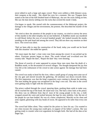never talked to such a large and angry crowd. There were soldiers a little distance away, their weapons at the ready. She closed her eyes for a moment. She saw Tisaguta thera seated at the foot of the half finished bund of Mahavapi, she saw the rocks falling on him. She saw the dust slowly settling over the rocks that covered the monk's body.

Cita began to speak. She started with the commencement of the Mahavapi project, the damage to the villages and the environment, the protests. She described the murder of the monk.

'We tried to draw the attention of the people in our country, we tried to convey the news of this murder to the other temples, but no one bothered. A Buddhist monk was murdered in cold blood, before the eyes of several hundred people' she looked towards the monks standing on the tank bund and among the crowd. They did not show any emotion on their faces. The crowd was silent.

'Had we been able to stop the construction of the bund, today you would not be faced with this situation' she ended her speech.

'We must repair the dam' a lone voice rose from among the crowd. It was picked up by others. Everyone present began to shout. The words echoed and re-echoed over the country side. 'Repair the dam', 'Repair the dam' they were shouting.

The threat of scarcity of water appeared to arouse these men more than the death of a Buddhist monk, or the devastation of several villages. The thought dampened the joy that Cita felt at the enthusiasm of the crowd to take action against the damage that had been caused.

The crowd was ready to head for the river, when a small group of young men came out of the city gate and moved towards the gathering. All attention was drawn towards them. The first impression was that the king's supporters were coming to disrupt the meeting. The man leading the group was recognized as the king's own son. The men in the crowd were getting ready to fight with the newcomers.

The prince walked through the crowd, ignoring them, pushing them aside to make way, till he reached the top of the bund. He stood near Cita. She had a close look at the prince. His dress was no different from that of most of the young people in the city, a cloth wrapped around the waist and tucked between the legs for easy mobility. Like the rest of the people he was bare bodied. He was of a fairer complexion. Muscles on his chest and arms rippled, glistening with tiny beads of sweat. He appeared to be taller than every one else.

The crowd had fallen silent. They waited for the prince to have his say. Cita wanted to see what excuses the young man could give, in support of his father's actions. She was getting ready to counter what ever arguments he brought forth. She had all the data at her finger tips.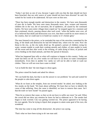'Today I am here as one of you, because I agree with you that the dam should not have been breached, that our only source of water should not have been diverted' he said. He waited for his words to be understood. All eyes were on him now.

'There has been enough murder and destruction in the country. We have seen thousands of men die in battle. We have seen many thousands more, men, women and innocent children die in the war, die of starvation, die of epidemics, all caused by the continued battles. We have seen entire villages been wiped out' he stopped again for a moment and then continued, slowly, pausing almost after each word. 'when the battles were over, all of us believed that death and destruction was over, that there would be no more misery in the country, that we could start to re-build our country to it's former glory'

The men listened to the prince, as he reminded the men of the atrocities committed by the king, of the death and destruction he had left behind him, where ever he went. Now the threat to the city, as the city tanks dried up. He painted a picture of children crying for water, women unable to wash their cooking utensils and clothes, of men unable to wash off the sweat and dust after work in the evening, of cattle dying of thirst, of jackals and crows feeding on the dead animals, and then the spread of diseases.

'What has happened here tells us what will continue to happen in this country. Today our water has been cut off. In a few weeks we will have to cut down on water consumption immediately. Even then in another few weeks we will not be able to bath or wash our clothes. Then we will not even have water to drink'

'Let us build the dam' the men began to shout again.

The prince raised his hands and asked for silence.

'We can build the dam, but that is not the answer to our problems' he said and waited for the people to calm down again.

'What do we learn at the temples, from our revered monks' he asked, now looking at the few monks on the bund. 'We learn about suffering. We learn that we have to identify the cause of that suffering. Once the cause is identified, we have to remove that cause. Isn't that the truth we have learnt?' he paused again.

'Then let us remove that cause, so that we do not have to suffer any more' he said. When the crowd did not show any emotion he knew he had to elaborate on it. The monks had begun to look worried. Cita was getting worried too. The prince appeared to be having his own agenda. Was he trying to hijack their program to attain some goal of his own, she wondered.

'The time has come to stop all this destruction', the prince was saying.

'That's what we have been trying to do' one man said.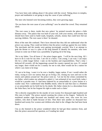'You have been only talking about it' the prince told the crowd. 'Sitting down in temples, prayer and meditation is not going to stop the cause of your suffering'

The men who listened were becoming restless, they were growing angry.

'Do you know the root cause of your suffering?' now he asked the crowd. They remained silent.

'The root cause is there, inside that new palace' he pointed towards the palace a little distance away. 'The palace that was built of your toil, with your money, with money that should have been used to build roads, hospitals, schools, money that could have fed our starving children. The root cause is there' he shouted.

Most of the men felt confused. Their faces showed that they did not understand what the prince was saying. They could not believe that the prince could go against his own father. The merchants and the monks were getting increasingly worried. Was it an attempt to grab the throne or was it a plan of the king himself to identify his enemies, who were certain to come out if there was a possibility of getting rid of the king.

'He is my father. You all know it' the prince began again. 'I will be the next king. All i have to do is wait for my time. I am not in a hurry. I am young. I can wait. I can enjoy life for a while longer before i take on the burdens and responsibilities. That's what i believed till recently, till the happenings around the country opened my eyes. If i waited any longer, there would not be a country for me to rule, there would not be a nation for which i can claim to be king'

'If i am to be king, i want it to be over a healthy, happy nation. If not i would rather die today, trying to save our nation, than go on living a lie, closing my eyes and ears to the misery and sadness around me' the prince went on. 'Let me list the crimes committed by my father, which makes me ashamed to admit it. I am ashamed of my royal birth, today i would be a prouder man if i had been fathered by an untouchable or a poor farmer or a washer man. Now i understand what Buddha meant, when he said that man is a Brahmin or an untouchable not by birth but by his deeds. My father claims he is a descendant from the Solar Race, but he has forgone his right to make such a claim.'

'He is directly responsible for the murder of over twenty five thousand eight hundred and fifty men in battle' The prince started counting the crimes on his fingers. 'Indirectly he murdered another eight thousand one hundred and ninety men, who were his own soldiers, who died in battle because of him. Then there were another six thousand four hundred and twenty five women and children who died in the villages that had been burnt down.

Cita as she listened to the prince wondered where he had got these statistics from, and then the prince answered her question, as if reading her mind.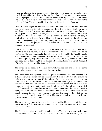'I am not plucking these numbers out of thin air. I have done my research, i have travelled form village to village, collecting these data and i had my men going around, talking to people who were affected' he said. How true his figures were only he would know. No one else could confirm these numbers because no else would have bothered to collect such data. The prince could still be plucking the numbers out of thin air.

'Because of his hunger for power he had caused the death of a total of thirty thousand four hundred and sixty five of our country men. He will try to justify this by saying he was doing it to save his country and religion, to bring the country under one flag to be strong against foreign invasions. But you and i know why he did it. He did it because of his obsession to be the monarch of the whole country. He was not satisfied with being a local ruler, he wanted more. Do you think he will stop with this? Next he will want to invade our neighbouring countries, to try to capture more land. This would result in the death of more of our people in battle. It would also be a terrible drain on all our resources' he continued.

'The worst crime he has committed in his life time, is something unthinkable for us Buddhists in this country. It is also unforgivable' he looked around him before continuing. 'The king has committed the ultimate crime. He has killed a Buddhist monk. A man who calls himself a Buddhist, a champion of the Buddhist cause has killed an innocent, respected, very senior Buddhist monk. Though he is my father, I have to tell you today, that he has no right to call himself a Buddhist. He is a follower of Yama, not of Buddha or any other world religious leader'

The prince did not appear to be in any hurry. Cita watched him, and she looked at the crowd, who hung on to every word the prince was saying.

The Commander had appeared among the group of soldiers who were standing at a distance. He was a worried man too. Immediately after the construction of Mahavapi he had discharged most of his men. He had allowed the men in the regular forces to go on leave. Some of them were returning to their homes after several years of service. They deserved it. Here was a problem he had not anticipated. He should have realized that the people in the city would not accept a scarcity of water. Yet he had not been worried much, because all he expected the crowd to do was to go down to the river and block it again, rebuild the dam and divert the water back into the canal and their tanks. He had already planned to send a few soldiers to the breached dam to show that he was protecting it. The soldiers were faithful to him and they had instructions to let the protestors overrun their barricades.

The arrival of the prince had changed the situation, making him come out of the city to assess for himself the situation. He would have to change his plans. His safety came before that of the king.

The Commander had only a handful of native soldiers. The others were mercenaries from the neighbouring countries. In a situation where the king's own son was getting involved,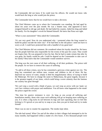the Commander did not know if he could trust his officers. He would not know who would back the king or who would join the prince.

The Commander knew that he too would have to take a decision.

The Chief Minister came up to where the Commander was standing. He had aged by about ten years over the past month. He was a beaten man, who appeared to have resigned himself to old age and death. He had failed his country, failed his king and failed his family. For his daughter's revolt he blamed himself. He knew that Puna was right.

'What is your assessment?' Reta asked the Commander.

'It's not very good. Now do you understand why i protested when the king wanted to build his palace outside the inner city? If he had been in the old palace i need not have to worry at all. I could have protected him with a handful of my good men'

The Chief Minister did not comment. He wondered where his loyalty should be. He knew that the people held him also responsible for the events of the past few years. They would not forgive him. He was prepared to face his fate. But he had to make certain that after he was gone, his family would be safe. Could he depend on the Commander to take care of his family? Reta knew that the Commander would somehow survive.

The king was the root cause of all their suffering, of all their problems. The prince told the people. So we have to remove the cause of suffering.

'To add to all these crimes, now he has committed a grievous crime against our city. The king has committed one million men, women and children to die of thirst. He has deprived our source of water, simply to feed his megalomaniac idiocy of trying to build the Mahavapi. We have to change the name to Mahavinasa, the great tragedy, because it is the greatest tragedy of our times, which could bring a worst calamity than the famines our country has gone through'

'We can't stop a sword with a blade of grass, we can't stop an arrow with our hand, we can't face violence with prayer and meditation. You all know what happened to the monk' the prince urged the crowd.

'The time for passive resistance is over. As long as you accept all suffering and humiliation meekly, those who cause such suffering will go on heaping more suffering on you. It is when a dog tucks its tail between its legs and start squealing, that we feel like kicking it, if it growls at you and try to snap at you, then you pat its head and try to make friends'

There was no one to counter his arguments. The monks kept silent.

The tide had turned. What Cita and all the others in their villages had attempted to do for many months, had happened within a matter of a few hours. A few thousand people were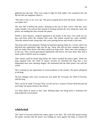gathered near the tank. They were ready to fight for their rights. Cita wondered why she did not feel any happiness about it.

'The time is now, to act. Let's go' The prince jumped down from the bund. 'Destiny is in our hands now'

The men fell in behind the prince, shouting at the top of their voices. Still they were empty handed. Cita noticed that instead of turning towards the river along the canal, the prince was leading the men towards the palace.

Within a short distance, weapons appeared in the hands of the men. Cita could not see how and from where the weapons had come. She looked around her, more carefully. Then she noticed some young men who were passing knives and swords to the men.

The prince had come prepared. Perhaps he had been getting ready for a revolt, when Cita delivered this opportunity right into his lap. Those who did not have weapons began to pull out stakes from fences and others picked up large rocks. More men were pouring in to the city. They carried agricultural implements and knives, the only items they had at hand, which could be used as weapons.

Their shouts could be heard long before the rioters reached the palace gates. When the king inquired from the Chief of palace security he informed the king that a few disgruntled men were shouting slogans. He mentioned that the elder prince was with the crowd.

'He is waiting for any opportunity to create problems in the country', the queen whispered to the king.

'He has changed, since your second son was made the Yuvaraja' the Chief of Security told the king.

'How can he be made Yuvaraja? How can the son by a woman of lesser birth become the next king?' the queen hissed at the officer.

'Let them shout as much as they want. Barking dogs can't bring down a mountain' the king ended the conversation.

### **whirlwind**

The Chief of Security ordered the palace gates to be shut. The word had spread among the palace servants that the prince was leading an army against the king, to restore the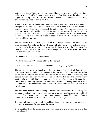water to their tanks. Water was the magic word. Those men who were loyal to the prince, and those who had suffered under the oppressive rule of the king, urged the other servants to join the uprising. Some of these men had been briefed by the prince, some time back, on how they should act in such a situation.

These selected few collected their weapons which had been cleverly concealed in strategic places. The extra weapons were passed on to other servants who could be depended upon. These men approached the palace gate. They far outnumbered the mercenary soldiers who had been guarding the gate. Within minutes the guards had been killed and the gate was secured. The gates were flung open as the prince walked across the moat. To the men inside the palace, it appeared as if almost half the country was coming behind the prince.

The men poured in to the palace garden as the water had gushed out of the breached dam a few days ago. Cita followed the crowd, along with a few other young girls and women. Among the girls she recognized Puna. What was she doing here, was the first thought that came to Cita's mind. Then she thought that if the prince could revolt against his father, why couldn't Puna do the same.

Cita approached Puna. Puna recognized her.

'What will happen now?' Puna asked from the other girl.

'I don't know. The men are totally out of control now. Any thing is possible'

The prince and his men found very little resistance. The Chief of Security had disappeared. He was helpless. The Commander had not responded to his messages. Either he too had vanished or had already been killed by the rioters, the chief thought, and decided he would be safer away from the palace. He was helpless. The few mercenary soldiers who were with him could not guard the entire palace complex. He cursed the Commander for releasing most of the soldiers from service and sending others on leave at the same time. Then the thought came to him that probably that too had been part of an overall plan.

The men broke into the palace buildings. They lost all further interest in the uprising and the issue of water. Some began looting, carrying away any valuable items they could get hold of. Others went in search of the young female servants. Cita watched from a distance as the kitten she had nurtured turned into a vicious tiger.

The king had been dragged out of the building. Someone had thrown a rope around his neck and was dragging the king along the ground.

'Let's hang him from the nearest tree' one of the ministers, who had crossed over to the prince shouted.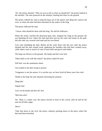'No' the prince shouted. 'Who are you to tell us what we should do?' the prince barked at the minister. The men pounced on the minister, beating him down to the ground.

The prince ordered his men to drag the king out of the palace and along the canal to the river, to where the dam had been breached on the orders of the king.

The prince followed his men.

'I know what should be done with the king.' He told his followers.

When the rioters reached the destroyed dam, they dropped the king on the ground. He was bleeding all over where the skin had been torn by the roots and stones in the path. His silk robe was covered with mud and his own blood.

'Let's start rebuilding the dam. Before all the water flows into the new tank' the prince shouted and the men started work, gathering the boulders that had been washed away, while others went in search of carts to haul earth and gravel and timber.

The king was thrown to the ground. His hands and feet were tied.

'What shall we do with this traitor?' the prince asked his men.

'Kill him' was the unanimous shout.

Cita rushed to the dam trying to protest.

'Vengeance is not the answer. It is not the way we have lived all these years' she cried.

'Death to the king' the men shouted, drowning her protests.

'Hang him'

'Impale him'

'Let's cut his hands and feet off, first'

'Skin him alive'

'No. There is a better way' the prince moved in front of the crowd, after he had let the men let off their anger.

'How?'

'Take him down to the river' the prince ordered, pointing down to the place where the dam had been breached.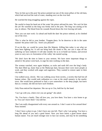'Now tie him up to this post' the prince pointed out one of the stone pillars of the old dam, which had survived the rush of water, standing erect on the river bed.

He watched the king struggling against the ropes.

'Be careful to keep his head out of the water' the prince advised his men. 'We can't let him die yet' He watched as the king was firmly tied to the post. The king was staring at his son, in silence. The blood from his wounds flowed down the river leaving red trails.

'Now you can start work. Go ahead and build the dam' the prince ordered, as he climbed out of the river.

'This is what he did to your brother, Tisaguta thera. So he deserves to die in the same manner' the prince told Cita. 'Aren't you pleased?'

'If we do this, we would be worse than His Majesty. Killing him today is not what we have been fighting for. It will not bring back the monk to life, nor can it wipe off the suffering we have endured. It will take months for us to re-build our homes, and several years to carry out a re-forestation of the valley' she started saying.

'We don't have the time to listen to your sermon. We have more important things to attend to' the prince went back, to urge his men working on the dam.

The woman watched, once again helpless, as rocks and earth fell over the king's body. The dam filled up, faster than at the Mahavapi dam, because there were more people at work, and they worked with anger and eagerness. They wanted to restore water to their city tanks.

Cita walked away, slowly. She was walking away from society, a society that had lost all human values. She would seek ordination as a nun at the small nunnery in the nearby town. She would have preferred to find a cave somewhere in the deep jungle, but knew that as a woman, she did not have such freedom.

Only Puna noticed her departure. She ran up to Cita, held her by the hand.

'Can I go with you, where ever you are going?' she asked.

'No. You have a family. They all love you, you love them. You have a nice home to go to. You can't leave them' Cita told her.

'But I am really disappointed with every one around us. I don't want to live around them' Puna insisted.

'I don't have a place to go. I don't have any one left. That's why I am going. You have a long life ahead of you and a good future. Now you have learnt a good lesson about human nature. You are much stronger now to face our society, and may be do something